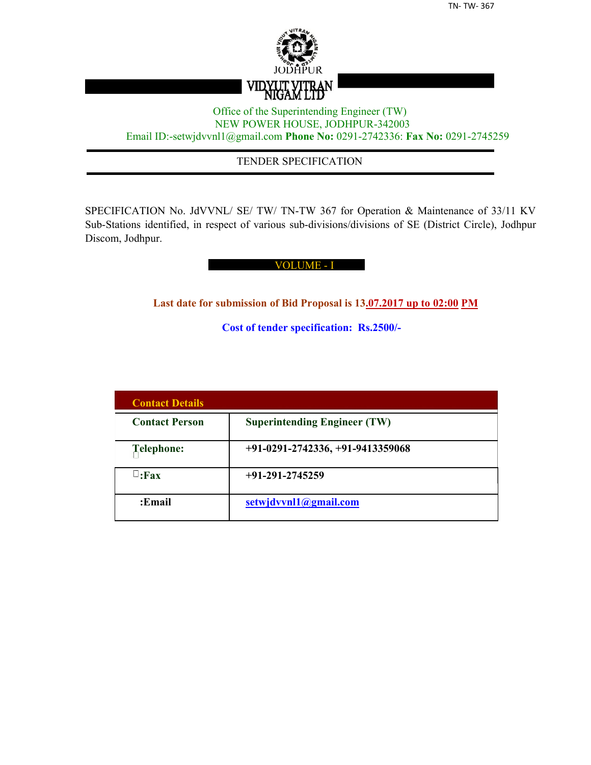

## Office of the Superintending Engineer (TW) NEW POWER HOUSE, JODHPUR-342003 Email ID:-setwjdvvnl1@gmail.com **Phone No:** 0291-2742336: **Fax No:** 0291-2745259

## TENDER SPECIFICATION

SPECIFICATION No. JdVVNL/ SE/ TW/ TN-TW 367 for Operation & Maintenance of 33/11 KV Sub-Stations identified, in respect of various sub-divisions/divisions of SE (District Circle), Jodhpur Discom, Jodhpur.

#### VOLUME - I

**Last date for submission of Bid Proposal is 13.07.2017 up to 02:00 PM**

**Cost of tender specification: Rs.2500/-**

| <b>Contact Details</b> |                                     |
|------------------------|-------------------------------------|
| <b>Contact Person</b>  | <b>Superintending Engineer (TW)</b> |
| Telephone:             | $+91-0291-2742336, +91-9413359068$  |
| $\sqcup$ :Fax          | $+91-291-2745259$                   |
| :Email                 | setwjdvvnl1@gmail.com               |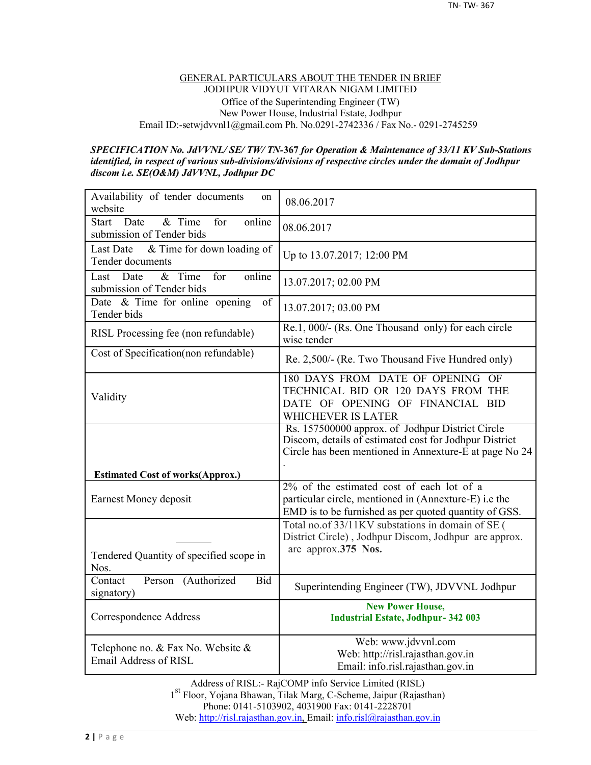#### GENERAL PARTICULARS ABOUT THE TENDER IN BRIEF JODHPUR VIDYUT VITARAN NIGAM LIMITED Office of the Superintending Engineer (TW) New Power House, Industrial Estate, Jodhpur Email ID:-setwjdvvnl1@gmail.com Ph. No.0291-2742336 / Fax No.- 0291-2745259

#### *SPECIFICATION No. JdVVNL/ SE/ TW/ TN-***367** *for Operation & Maintenance of 33/11 KV Sub-Stations identified, in respect of various sub-divisions/divisions of respective circles under the domain of Jodhpur discom i.e. SE(O&M) JdVVNL, Jodhpur DC*

| Availability of tender documents<br>on<br>website                              | 08.06.2017                                                                                                                                                                         |
|--------------------------------------------------------------------------------|------------------------------------------------------------------------------------------------------------------------------------------------------------------------------------|
| $&$ Time<br>online<br>Date<br>for<br><b>Start</b><br>submission of Tender bids | 08.06.2017                                                                                                                                                                         |
| & Time for down loading of<br><b>Last Date</b><br>Tender documents             | Up to 13.07.2017; 12:00 PM                                                                                                                                                         |
| $&$ Time<br>online<br>Date<br>for<br>Last<br>submission of Tender bids         | 13.07.2017; 02.00 PM                                                                                                                                                               |
| Date $\&$ Time for online opening<br>of<br>Tender bids                         | 13.07.2017; 03.00 PM                                                                                                                                                               |
| RISL Processing fee (non refundable)                                           | Re.1, 000/- (Rs. One Thousand only) for each circle<br>wise tender                                                                                                                 |
| Cost of Specification(non refundable)                                          | Re. 2,500/- (Re. Two Thousand Five Hundred only)                                                                                                                                   |
| Validity                                                                       | 180 DAYS FROM DATE OF OPENING OF<br>TECHNICAL BID OR 120 DAYS FROM THE<br>DATE OF OPENING OF FINANCIAL BID<br>WHICHEVER IS LATER                                                   |
|                                                                                | Rs. 157500000 approx. of Jodhpur District Circle<br>Discom, details of estimated cost for Jodhpur District<br>Circle has been mentioned in Annexture- $\overline{E}$ at page No 24 |
| <b>Estimated Cost of works(Approx.)</b>                                        |                                                                                                                                                                                    |
| Earnest Money deposit                                                          | 2% of the estimated cost of each lot of a<br>particular circle, mentioned in (Annexture-E) i.e the<br>EMD is to be furnished as per quoted quantity of GSS.                        |
| Tendered Quantity of specified scope in                                        | Total no.of 33/11KV substations in domain of SE (<br>District Circle), Jodhpur Discom, Jodhpur are approx.<br>are approx.375 Nos.                                                  |
| Nos.                                                                           |                                                                                                                                                                                    |
| Person (Authorized<br><b>Bid</b><br>Contact<br>signatory)                      | Superintending Engineer (TW), JDVVNL Jodhpur                                                                                                                                       |
| Correspondence Address                                                         | <b>New Power House,</b><br><b>Industrial Estate, Jodhpur-342 003</b>                                                                                                               |
| Telephone no. & Fax No. Website &<br>Email Address of RISL                     | Web: www.jdvvnl.com<br>Web: http://risl.rajasthan.gov.in<br>Email: info.risl.rajasthan.gov.in                                                                                      |

Address of RISL:- RajCOMP info Service Limited (RISL) 1 st Floor, Yojana Bhawan, Tilak Marg, C-Scheme, Jaipur (Rajasthan) Phone: 0141-5103902, 4031900 Fax: 0141-2228701 Web: http://risl.rajasthan.gov.in, Email: info.risl@rajasthan.gov.in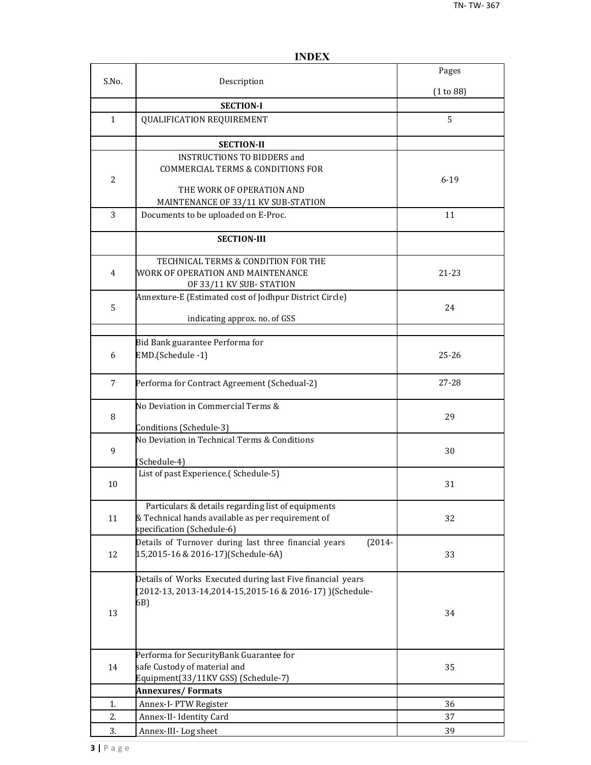|                |                                                                    | Pages     |
|----------------|--------------------------------------------------------------------|-----------|
| S.No.          | Description                                                        | (1 to 88) |
|                | <b>SECTION-I</b>                                                   |           |
| $\mathbf{1}$   | QUALIFICATION REQUIREMENT                                          | 5         |
|                |                                                                    |           |
|                | <b>SECTION-II</b>                                                  |           |
|                | <b>INSTRUCTIONS TO BIDDERS and</b>                                 |           |
|                | <b>COMMERCIAL TERMS &amp; CONDITIONS FOR</b>                       |           |
| $\overline{2}$ |                                                                    | $6 - 19$  |
|                | THE WORK OF OPERATION AND                                          |           |
|                | MAINTENANCE OF 33/11 KV SUB-STATION                                |           |
| 3              | Documents to be uploaded on E-Proc.                                | 11        |
|                | <b>SECTION-III</b>                                                 |           |
|                | TECHNICAL TERMS & CONDITION FOR THE                                |           |
| $\overline{4}$ | WORK OF OPERATION AND MAINTENANCE                                  | 21-23     |
|                | OF 33/11 KV SUB-STATION                                            |           |
|                | Annexture-E (Estimated cost of Jodhpur District Circle)            |           |
| 5              |                                                                    | 24        |
|                | indicating approx. no. of GSS                                      |           |
|                |                                                                    |           |
|                | Bid Bank guarantee Performa for                                    |           |
| 6              | EMD.(Schedule -1)                                                  | $25 - 26$ |
| 7              | Performa for Contract Agreement (Schedual-2)                       | $27 - 28$ |
|                | No Deviation in Commercial Terms &                                 |           |
| 8              |                                                                    | 29        |
|                | Conditions (Schedule-3)                                            |           |
| 9              | No Deviation in Technical Terms & Conditions                       | 30        |
|                | (Schedule-4)                                                       |           |
|                | List of past Experience.(Schedule-5)                               |           |
| 10             |                                                                    | 31        |
|                | Particulars & details regarding list of equipments                 |           |
| 11             | & Technical hands available as per requirement of                  | 32        |
|                | specification (Schedule-6)                                         |           |
|                | Details of Turnover during last three financial years<br>$(2014 -$ |           |
| 12             | 15,2015-16 & 2016-17)(Schedule-6A)                                 | 33        |
|                | Details of Works Executed during last Five financial years         |           |
|                | (2012-13, 2013-14, 2014-15, 2015-16 & 2016-17) ) (Schedule-        |           |
|                | 6B)                                                                |           |
| 13             |                                                                    | 34        |
|                |                                                                    |           |
|                | Performa for SecurityBank Guarantee for                            |           |
| 14             | safe Custody of material and                                       | 35        |
|                | Equipment(33/11KV GSS) (Schedule-7)                                |           |
|                | <b>Annexures/Formats</b>                                           |           |
| 1.             | Annex-I-PTW Register                                               | 36        |
| 2.             | Annex-II- Identity Card                                            | 37        |
| 3.             | Annex-III-Log sheet                                                | 39        |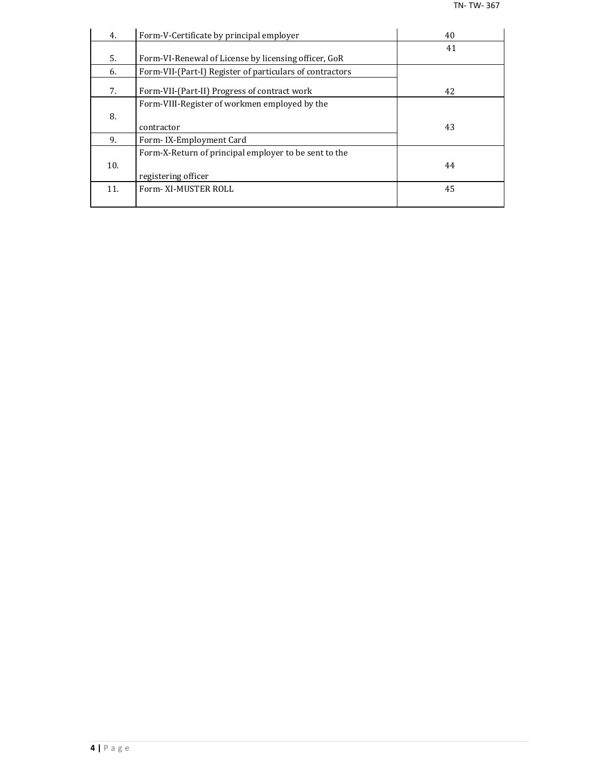| 4.  | Form-V-Certificate by principal employer                 | 40 |
|-----|----------------------------------------------------------|----|
|     |                                                          | 41 |
| 5.  | Form-VI-Renewal of License by licensing officer, GoR     |    |
| 6.  | Form-VII-(Part-I) Register of particulars of contractors |    |
| 7.  | Form-VII-(Part-II) Progress of contract work             | 42 |
|     | Form-VIII-Register of workmen employed by the            |    |
| 8.  |                                                          |    |
|     | contractor                                               | 43 |
| 9.  | Form-IX-Employment Card                                  |    |
|     | Form-X-Return of principal employer to be sent to the    |    |
| 10. |                                                          | 44 |
|     | registering officer                                      |    |
| 11. | Form-XI-MUSTER ROLL                                      | 45 |
|     |                                                          |    |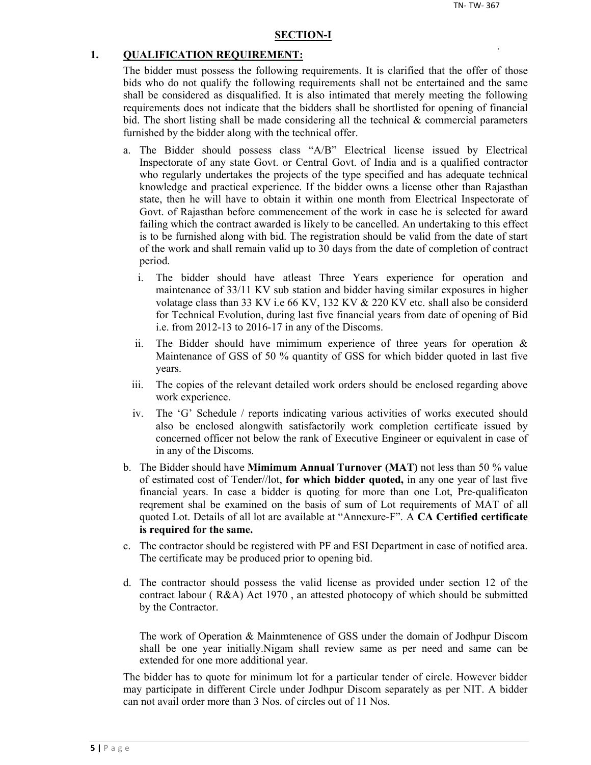#### **SECTION-I**

#### **1. QUALIFICATION REQUIREMENT:**

The bidder must possess the following requirements. It is clarified that the offer of those bids who do not qualify the following requirements shall not be entertained and the same shall be considered as disqualified. It is also intimated that merely meeting the following requirements does not indicate that the bidders shall be shortlisted for opening of financial bid. The short listing shall be made considering all the technical  $\&$  commercial parameters furnished by the bidder along with the technical offer.

- a. The Bidder should possess class "A/B" Electrical license issued by Electrical Inspectorate of any state Govt. or Central Govt. of India and is a qualified contractor who regularly undertakes the projects of the type specified and has adequate technical knowledge and practical experience. If the bidder owns a license other than Rajasthan state, then he will have to obtain it within one month from Electrical Inspectorate of Govt. of Rajasthan before commencement of the work in case he is selected for award failing which the contract awarded is likely to be cancelled. An undertaking to this effect is to be furnished along with bid. The registration should be valid from the date of start of the work and shall remain valid up to 30 days from the date of completion of contract period.
	- i. The bidder should have atleast Three Years experience for operation and maintenance of 33/11 KV sub station and bidder having similar exposures in higher volatage class than 33 KV i.e 66 KV, 132 KV & 220 KV etc. shall also be considerd for Technical Evolution, during last five financial years from date of opening of Bid i.e. from 2012-13 to 2016-17 in any of the Discoms.
	- ii. The Bidder should have mimimum experience of three years for operation  $\&$ Maintenance of GSS of 50 % quantity of GSS for which bidder quoted in last five years.
	- iii. The copies of the relevant detailed work orders should be enclosed regarding above work experience.
	- iv. The 'G' Schedule / reports indicating various activities of works executed should also be enclosed alongwith satisfactorily work completion certificate issued by concerned officer not below the rank of Executive Engineer or equivalent in case of in any of the Discoms.
- b. The Bidder should have **Mimimum Annual Turnover (MAT)** not less than 50 % value of estimated cost of Tender//lot, **for which bidder quoted,** in any one year of last five financial years. In case a bidder is quoting for more than one Lot, Pre-qualificaton reqrement shal be examined on the basis of sum of Lot requirements of MAT of all quoted Lot. Details of all lot are available at "Annexure-F". A **CA Certified certificate is required for the same.**
- c. The contractor should be registered with PF and ESI Department in case of notified area. The certificate may be produced prior to opening bid.
- d. The contractor should possess the valid license as provided under section 12 of the contract labour ( R&A) Act 1970 , an attested photocopy of which should be submitted by the Contractor.

The work of Operation & Mainmtenence of GSS under the domain of Jodhpur Discom shall be one year initially.Nigam shall review same as per need and same can be extended for one more additional year.

The bidder has to quote for minimum lot for a particular tender of circle. However bidder may participate in different Circle under Jodhpur Discom separately as per NIT. A bidder can not avail order more than 3 Nos. of circles out of 11 Nos.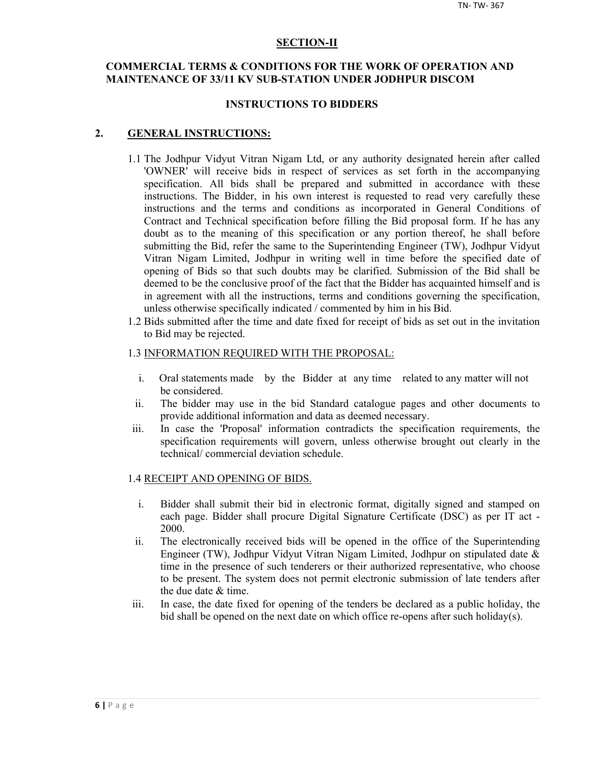#### **SECTION-II**

## **COMMERCIAL TERMS & CONDITIONS FOR THE WORK OF OPERATION AND MAINTENANCE OF 33/11 KV SUB-STATION UNDER JODHPUR DISCOM**

#### **INSTRUCTIONS TO BIDDERS**

#### **2. GENERAL INSTRUCTIONS:**

- 1.1 The Jodhpur Vidyut Vitran Nigam Ltd, or any authority designated herein after called 'OWNER' will receive bids in respect of services as set forth in the accompanying specification. All bids shall be prepared and submitted in accordance with these instructions. The Bidder, in his own interest is requested to read very carefully these instructions and the terms and conditions as incorporated in General Conditions of Contract and Technical specification before filling the Bid proposal form. If he has any doubt as to the meaning of this specification or any portion thereof, he shall before submitting the Bid, refer the same to the Superintending Engineer (TW), Jodhpur Vidyut Vitran Nigam Limited, Jodhpur in writing well in time before the specified date of opening of Bids so that such doubts may be clarified. Submission of the Bid shall be deemed to be the conclusive proof of the fact that the Bidder has acquainted himself and is in agreement with all the instructions, terms and conditions governing the specification, unless otherwise specifically indicated / commented by him in his Bid.
- 1.2 Bids submitted after the time and date fixed for receipt of bids as set out in the invitation to Bid may be rejected.

#### 1.3 INFORMATION REQUIRED WITH THE PROPOSAL:

- i. Oral statements made by the Bidder at any time related to any matter will not be considered.
- ii. The bidder may use in the bid Standard catalogue pages and other documents to provide additional information and data as deemed necessary.
- iii. In case the 'Proposal' information contradicts the specification requirements, the specification requirements will govern, unless otherwise brought out clearly in the technical/ commercial deviation schedule.

#### 1.4 RECEIPT AND OPENING OF BIDS.

- i. Bidder shall submit their bid in electronic format, digitally signed and stamped on each page. Bidder shall procure Digital Signature Certificate (DSC) as per IT act - 2000.
- ii. The electronically received bids will be opened in the office of the Superintending Engineer (TW), Jodhpur Vidyut Vitran Nigam Limited, Jodhpur on stipulated date & time in the presence of such tenderers or their authorized representative, who choose to be present. The system does not permit electronic submission of late tenders after the due date & time.
- iii. In case, the date fixed for opening of the tenders be declared as a public holiday, the bid shall be opened on the next date on which office re-opens after such holiday(s).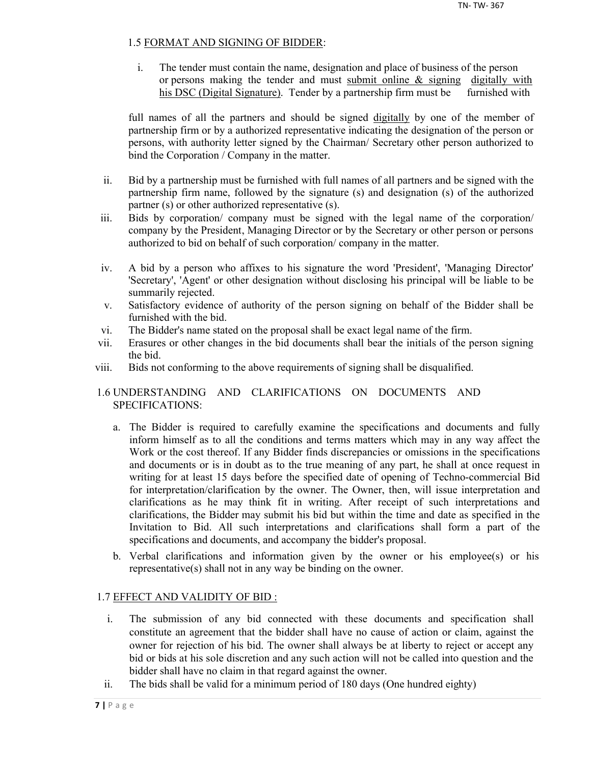## 1.5 FORMAT AND SIGNING OF BIDDER:

i. The tender must contain the name, designation and place of business of the person or persons making the tender and must submit online & signing digitally with his DSC (Digital Signature). Tender by a partnership firm must be furnished with

full names of all the partners and should be signed digitally by one of the member of partnership firm or by a authorized representative indicating the designation of the person or persons, with authority letter signed by the Chairman/ Secretary other person authorized to bind the Corporation / Company in the matter.

- ii. Bid by a partnership must be furnished with full names of all partners and be signed with the partnership firm name, followed by the signature (s) and designation (s) of the authorized partner (s) or other authorized representative (s).
- iii. Bids by corporation/ company must be signed with the legal name of the corporation/ company by the President, Managing Director or by the Secretary or other person or persons authorized to bid on behalf of such corporation/ company in the matter.
- iv. A bid by a person who affixes to his signature the word 'President', 'Managing Director' 'Secretary', 'Agent' or other designation without disclosing his principal will be liable to be summarily rejected.
- v. Satisfactory evidence of authority of the person signing on behalf of the Bidder shall be furnished with the bid.
- vi. The Bidder's name stated on the proposal shall be exact legal name of the firm.
- vii. Erasures or other changes in the bid documents shall bear the initials of the person signing the bid.
- viii. Bids not conforming to the above requirements of signing shall be disqualified.

## 1.6 UNDERSTANDING AND CLARIFICATIONS ON DOCUMENTS AND SPECIFICATIONS:

- a. The Bidder is required to carefully examine the specifications and documents and fully inform himself as to all the conditions and terms matters which may in any way affect the Work or the cost thereof. If any Bidder finds discrepancies or omissions in the specifications and documents or is in doubt as to the true meaning of any part, he shall at once request in writing for at least 15 days before the specified date of opening of Techno-commercial Bid for interpretation/clarification by the owner. The Owner, then, will issue interpretation and clarifications as he may think fit in writing. After receipt of such interpretations and clarifications, the Bidder may submit his bid but within the time and date as specified in the Invitation to Bid. All such interpretations and clarifications shall form a part of the specifications and documents, and accompany the bidder's proposal.
- b. Verbal clarifications and information given by the owner or his employee(s) or his representative(s) shall not in any way be binding on the owner.

## 1.7 EFFECT AND VALIDITY OF BID :

- i. The submission of any bid connected with these documents and specification shall constitute an agreement that the bidder shall have no cause of action or claim, against the owner for rejection of his bid. The owner shall always be at liberty to reject or accept any bid or bids at his sole discretion and any such action will not be called into question and the bidder shall have no claim in that regard against the owner.
- ii. The bids shall be valid for a minimum period of 180 days (One hundred eighty)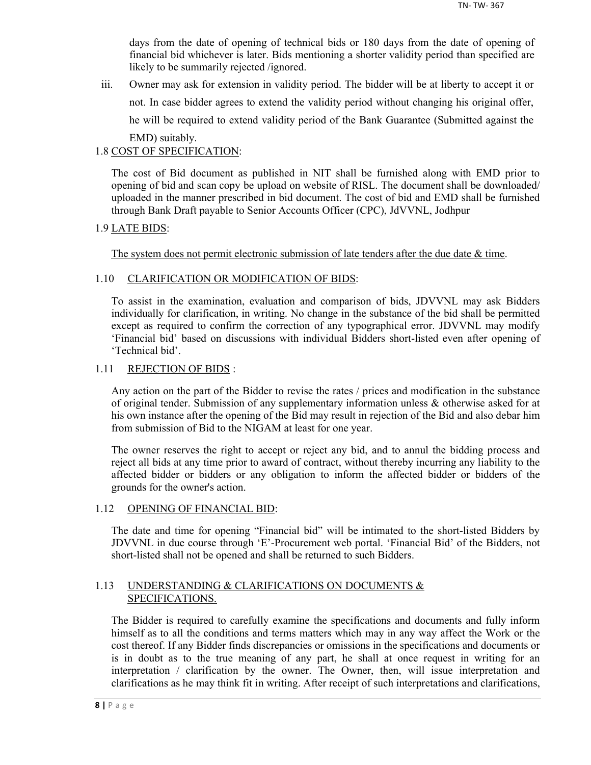days from the date of opening of technical bids or 180 days from the date of opening of financial bid whichever is later. Bids mentioning a shorter validity period than specified are likely to be summarily rejected /ignored.

iii. Owner may ask for extension in validity period. The bidder will be at liberty to accept it or not. In case bidder agrees to extend the validity period without changing his original offer, he will be required to extend validity period of the Bank Guarantee (Submitted against the EMD) suitably.

## 1.8 COST OF SPECIFICATION:

The cost of Bid document as published in NIT shall be furnished along with EMD prior to opening of bid and scan copy be upload on website of RISL. The document shall be downloaded/ uploaded in the manner prescribed in bid document. The cost of bid and EMD shall be furnished through Bank Draft payable to Senior Accounts Officer (CPC), JdVVNL, Jodhpur

## 1.9 LATE BIDS:

The system does not permit electronic submission of late tenders after the due date  $\&$  time.

## 1.10 CLARIFICATION OR MODIFICATION OF BIDS:

To assist in the examination, evaluation and comparison of bids, JDVVNL may ask Bidders individually for clarification, in writing. No change in the substance of the bid shall be permitted except as required to confirm the correction of any typographical error. JDVVNL may modify 'Financial bid' based on discussions with individual Bidders short-listed even after opening of 'Technical bid'.

## 1.11 REJECTION OF BIDS :

Any action on the part of the Bidder to revise the rates / prices and modification in the substance of original tender. Submission of any supplementary information unless & otherwise asked for at his own instance after the opening of the Bid may result in rejection of the Bid and also debar him from submission of Bid to the NIGAM at least for one year.

The owner reserves the right to accept or reject any bid, and to annul the bidding process and reject all bids at any time prior to award of contract, without thereby incurring any liability to the affected bidder or bidders or any obligation to inform the affected bidder or bidders of the grounds for the owner's action.

## 1.12 OPENING OF FINANCIAL BID:

The date and time for opening "Financial bid" will be intimated to the short-listed Bidders by JDVVNL in due course through 'E'-Procurement web portal. 'Financial Bid' of the Bidders, not short-listed shall not be opened and shall be returned to such Bidders.

## 1.13 UNDERSTANDING & CLARIFICATIONS ON DOCUMENTS & SPECIFICATIONS.

The Bidder is required to carefully examine the specifications and documents and fully inform himself as to all the conditions and terms matters which may in any way affect the Work or the cost thereof. If any Bidder finds discrepancies or omissions in the specifications and documents or is in doubt as to the true meaning of any part, he shall at once request in writing for an interpretation / clarification by the owner. The Owner, then, will issue interpretation and clarifications as he may think fit in writing. After receipt of such interpretations and clarifications,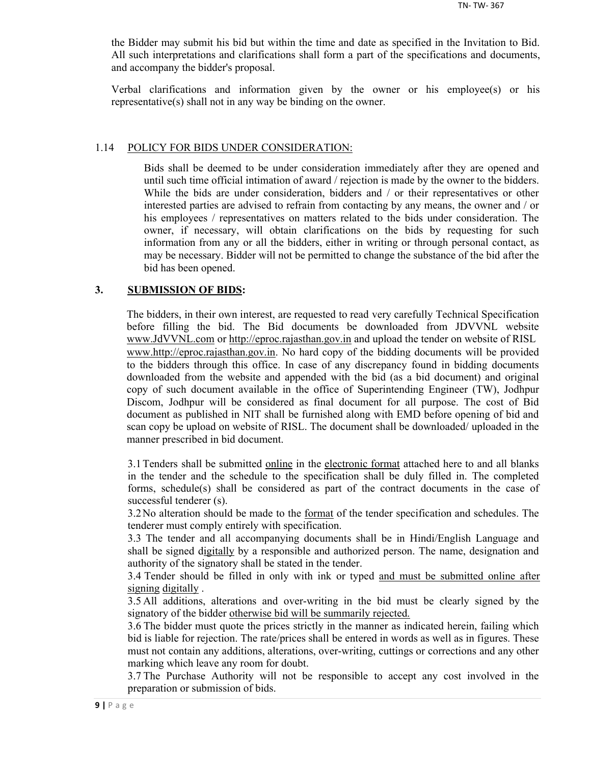the Bidder may submit his bid but within the time and date as specified in the Invitation to Bid. All such interpretations and clarifications shall form a part of the specifications and documents, and accompany the bidder's proposal.

Verbal clarifications and information given by the owner or his employee(s) or his representative(s) shall not in any way be binding on the owner.

#### 1.14 POLICY FOR BIDS UNDER CONSIDERATION:

Bids shall be deemed to be under consideration immediately after they are opened and until such time official intimation of award / rejection is made by the owner to the bidders. While the bids are under consideration, bidders and / or their representatives or other interested parties are advised to refrain from contacting by any means, the owner and / or his employees / representatives on matters related to the bids under consideration. The owner, if necessary, will obtain clarifications on the bids by requesting for such information from any or all the bidders, either in writing or through personal contact, as may be necessary. Bidder will not be permitted to change the substance of the bid after the bid has been opened.

## **3. SUBMISSION OF BIDS:**

The bidders, in their own interest, are requested to read very carefully Technical Specification before filling the bid. The Bid documents be downloaded from JDVVNL website www.JdVVNL.com or http://eproc.rajasthan.gov.in and upload the tender on website of RISL www.http://eproc.rajasthan.gov.in. No hard copy of the bidding documents will be provided to the bidders through this office. In case of any discrepancy found in bidding documents downloaded from the website and appended with the bid (as a bid document) and original copy of such document available in the office of Superintending Engineer (TW), Jodhpur Discom, Jodhpur will be considered as final document for all purpose. The cost of Bid document as published in NIT shall be furnished along with EMD before opening of bid and scan copy be upload on website of RISL. The document shall be downloaded/ uploaded in the manner prescribed in bid document.

3.1 Tenders shall be submitted online in the electronic format attached here to and all blanks in the tender and the schedule to the specification shall be duly filled in. The completed forms, schedule(s) shall be considered as part of the contract documents in the case of successful tenderer (s).

3.2 No alteration should be made to the <u>format</u> of the tender specification and schedules. The tenderer must comply entirely with specification.

3.3 The tender and all accompanying documents shall be in Hindi/English Language and shall be signed digitally by a responsible and authorized person. The name, designation and authority of the signatory shall be stated in the tender.

3.4 Tender should be filled in only with ink or typed and must be submitted online after signing digitally .

3.5 All additions, alterations and over-writing in the bid must be clearly signed by the signatory of the bidder otherwise bid will be summarily rejected.

3.6 The bidder must quote the prices strictly in the manner as indicated herein, failing which bid is liable for rejection. The rate/prices shall be entered in words as well as in figures. These must not contain any additions, alterations, over-writing, cuttings or corrections and any other marking which leave any room for doubt.

3.7 The Purchase Authority will not be responsible to accept any cost involved in the preparation or submission of bids.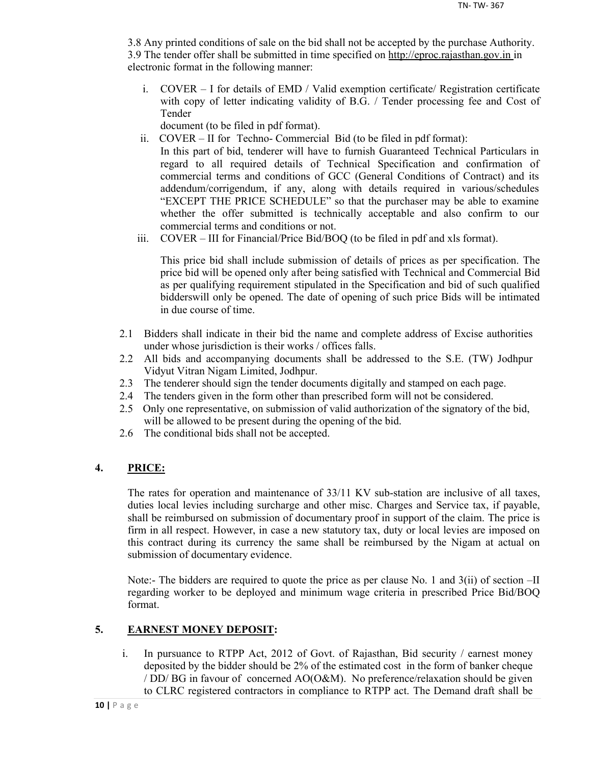3.8 Any printed conditions of sale on the bid shall not be accepted by the purchase Authority. 3.9 The tender offer shall be submitted in time specified on http://eproc.rajasthan.gov.in in electronic format in the following manner:

i. COVER – I for details of EMD / Valid exemption certificate/ Registration certificate with copy of letter indicating validity of B.G. / Tender processing fee and Cost of Tender

document (to be filed in pdf format).

- ii. COVER II for Techno- Commercial Bid (to be filed in pdf format): In this part of bid, tenderer will have to furnish Guaranteed Technical Particulars in regard to all required details of Technical Specification and confirmation of commercial terms and conditions of GCC (General Conditions of Contract) and its addendum/corrigendum, if any, along with details required in various/schedules "EXCEPT THE PRICE SCHEDULE" so that the purchaser may be able to examine whether the offer submitted is technically acceptable and also confirm to our commercial terms and conditions or not.
- iii. COVER III for Financial/Price Bid/BOQ (to be filed in pdf and xls format).

This price bid shall include submission of details of prices as per specification. The price bid will be opened only after being satisfied with Technical and Commercial Bid as per qualifying requirement stipulated in the Specification and bid of such qualified bidderswill only be opened. The date of opening of such price Bids will be intimated in due course of time.

- 2.1 Bidders shall indicate in their bid the name and complete address of Excise authorities under whose jurisdiction is their works / offices falls.
- 2.2 All bids and accompanying documents shall be addressed to the S.E. (TW) Jodhpur Vidyut Vitran Nigam Limited, Jodhpur.
- 2.3 The tenderer should sign the tender documents digitally and stamped on each page.
- 2.4 The tenders given in the form other than prescribed form will not be considered.
- 2.5 Only one representative, on submission of valid authorization of the signatory of the bid, will be allowed to be present during the opening of the bid.
- 2.6 The conditional bids shall not be accepted.

## **4. PRICE:**

The rates for operation and maintenance of 33/11 KV sub-station are inclusive of all taxes, duties local levies including surcharge and other misc. Charges and Service tax, if payable, shall be reimbursed on submission of documentary proof in support of the claim. The price is firm in all respect. However, in case a new statutory tax, duty or local levies are imposed on this contract during its currency the same shall be reimbursed by the Nigam at actual on submission of documentary evidence.

Note:- The bidders are required to quote the price as per clause No. 1 and 3(ii) of section –II regarding worker to be deployed and minimum wage criteria in prescribed Price Bid/BOQ format.

## **5. EARNEST MONEY DEPOSIT:**

i. In pursuance to RTPP Act, 2012 of Govt. of Rajasthan, Bid security / earnest money deposited by the bidder should be 2% of the estimated cost in the form of banker cheque / DD/ BG in favour of concerned AO(O&M). No preference/relaxation should be given to CLRC registered contractors in compliance to RTPP act. The Demand draft shall be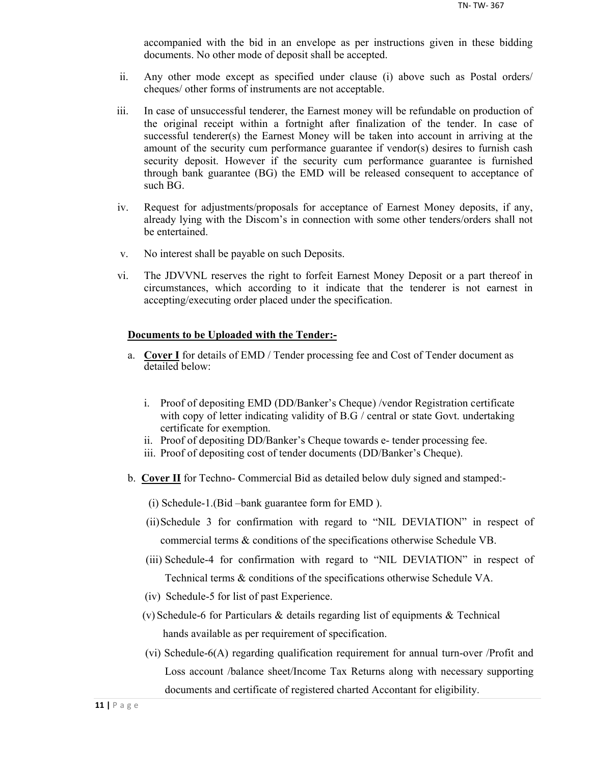accompanied with the bid in an envelope as per instructions given in these bidding documents. No other mode of deposit shall be accepted.

- ii. Any other mode except as specified under clause (i) above such as Postal orders/ cheques/ other forms of instruments are not acceptable.
- iii. In case of unsuccessful tenderer, the Earnest money will be refundable on production of the original receipt within a fortnight after finalization of the tender. In case of successful tenderer(s) the Earnest Money will be taken into account in arriving at the amount of the security cum performance guarantee if vendor(s) desires to furnish cash security deposit. However if the security cum performance guarantee is furnished through bank guarantee (BG) the EMD will be released consequent to acceptance of such BG.
- iv. Request for adjustments/proposals for acceptance of Earnest Money deposits, if any, already lying with the Discom's in connection with some other tenders/orders shall not be entertained.
- v. No interest shall be payable on such Deposits.
- vi. The JDVVNL reserves the right to forfeit Earnest Money Deposit or a part thereof in circumstances, which according to it indicate that the tenderer is not earnest in accepting/executing order placed under the specification.

#### **Documents to be Uploaded with the Tender:-**

- a. **Cover I** for details of EMD / Tender processing fee and Cost of Tender document as detailed below:
	- i. Proof of depositing EMD (DD/Banker's Cheque) /vendor Registration certificate with copy of letter indicating validity of B.G / central or state Govt. undertaking certificate for exemption.
	- ii. Proof of depositing DD/Banker's Cheque towards e- tender processing fee.
	- iii. Proof of depositing cost of tender documents (DD/Banker's Cheque).
- b. **Cover II** for Techno- Commercial Bid as detailed below duly signed and stamped:-
	- (i) Schedule-1.(Bid –bank guarantee form for EMD ).
	- (ii)Schedule 3 for confirmation with regard to "NIL DEVIATION" in respect of commercial terms & conditions of the specifications otherwise Schedule VB.
	- (iii) Schedule-4 for confirmation with regard to "NIL DEVIATION" in respect of Technical terms & conditions of the specifications otherwise Schedule VA.
	- (iv) Schedule-5 for list of past Experience.
	- (v) Schedule-6 for Particulars & details regarding list of equipments & Technical hands available as per requirement of specification.
	- (vi) Schedule-6(A) regarding qualification requirement for annual turn-over /Profit and Loss account /balance sheet/Income Tax Returns along with necessary supporting documents and certificate of registered charted Accontant for eligibility.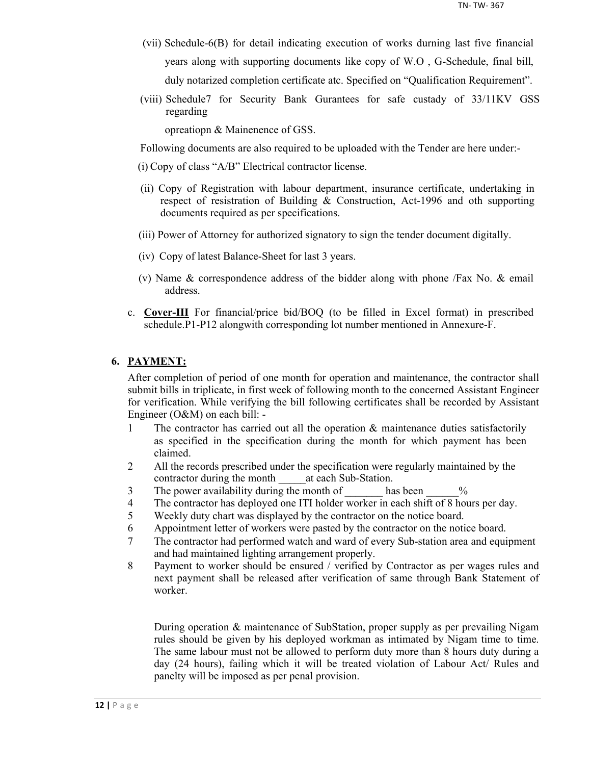- (vii) Schedule-6(B) for detail indicating execution of works durning last five financial years along with supporting documents like copy of W.O , G-Schedule, final bill, duly notarized completion certificate atc. Specified on "Qualification Requirement".
- (viii) Schedule7 for Security Bank Gurantees for safe custady of 33/11KV GSS regarding

opreatiopn & Mainenence of GSS.

Following documents are also required to be uploaded with the Tender are here under:-

- (i) Copy of class "A/B" Electrical contractor license.
- (ii) Copy of Registration with labour department, insurance certificate, undertaking in respect of resistration of Building & Construction, Act-1996 and oth supporting documents required as per specifications.
- (iii) Power of Attorney for authorized signatory to sign the tender document digitally.
- (iv) Copy of latest Balance-Sheet for last 3 years.
- (v) Name & correspondence address of the bidder along with phone /Fax No. & email address.
- c. **Cover-III** For financial/price bid/BOQ (to be filled in Excel format) in prescribed schedule.P1-P12 alongwith corresponding lot number mentioned in Annexure-F.

## **6. PAYMENT:**

After completion of period of one month for operation and maintenance, the contractor shall submit bills in triplicate, in first week of following month to the concerned Assistant Engineer for verification. While verifying the bill following certificates shall be recorded by Assistant Engineer (O&M) on each bill: -

- 1 The contractor has carried out all the operation & maintenance duties satisfactorily as specified in the specification during the month for which payment has been claimed.
- 2 All the records prescribed under the specification were regularly maintained by the contractor during the month at each Sub-Station.
- 3 The power availability during the month of has been  $\%$
- 4 The contractor has deployed one ITI holder worker in each shift of 8 hours per day.
- 5 Weekly duty chart was displayed by the contractor on the notice board.
- 6 Appointment letter of workers were pasted by the contractor on the notice board.
- 7 The contractor had performed watch and ward of every Sub-station area and equipment and had maintained lighting arrangement properly.
- 8 Payment to worker should be ensured / verified by Contractor as per wages rules and next payment shall be released after verification of same through Bank Statement of worker.

During operation & maintenance of SubStation, proper supply as per prevailing Nigam rules should be given by his deployed workman as intimated by Nigam time to time. The same labour must not be allowed to perform duty more than 8 hours duty during a day (24 hours), failing which it will be treated violation of Labour Act/ Rules and panelty will be imposed as per penal provision.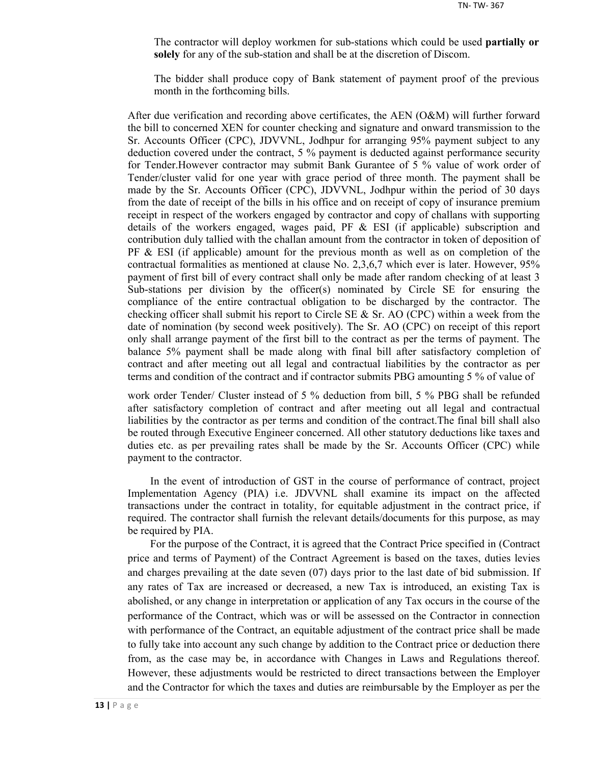The contractor will deploy workmen for sub-stations which could be used **partially or solely** for any of the sub-station and shall be at the discretion of Discom.

The bidder shall produce copy of Bank statement of payment proof of the previous month in the forthcoming bills.

After due verification and recording above certificates, the AEN (O&M) will further forward the bill to concerned XEN for counter checking and signature and onward transmission to the Sr. Accounts Officer (CPC), JDVVNL, Jodhpur for arranging 95% payment subject to any deduction covered under the contract, 5 % payment is deducted against performance security for Tender.However contractor may submit Bank Gurantee of 5 % value of work order of Tender/cluster valid for one year with grace period of three month. The payment shall be made by the Sr. Accounts Officer (CPC), JDVVNL, Jodhpur within the period of 30 days from the date of receipt of the bills in his office and on receipt of copy of insurance premium receipt in respect of the workers engaged by contractor and copy of challans with supporting details of the workers engaged, wages paid, PF  $\&$  ESI (if applicable) subscription and contribution duly tallied with the challan amount from the contractor in token of deposition of  $PF \& ESI$  (if applicable) amount for the previous month as well as on completion of the contractual formalities as mentioned at clause No. 2,3,6,7 which ever is later. However, 95% payment of first bill of every contract shall only be made after random checking of at least 3 Sub-stations per division by the officer(s) nominated by Circle SE for ensuring the compliance of the entire contractual obligation to be discharged by the contractor. The checking officer shall submit his report to Circle SE  $\&$  Sr. AO (CPC) within a week from the date of nomination (by second week positively). The Sr. AO (CPC) on receipt of this report only shall arrange payment of the first bill to the contract as per the terms of payment. The balance 5% payment shall be made along with final bill after satisfactory completion of contract and after meeting out all legal and contractual liabilities by the contractor as per terms and condition of the contract and if contractor submits PBG amounting 5 % of value of

work order Tender/ Cluster instead of 5 % deduction from bill, 5 % PBG shall be refunded after satisfactory completion of contract and after meeting out all legal and contractual liabilities by the contractor as per terms and condition of the contract.The final bill shall also be routed through Executive Engineer concerned. All other statutory deductions like taxes and duties etc. as per prevailing rates shall be made by the Sr. Accounts Officer (CPC) while payment to the contractor.

In the event of introduction of GST in the course of performance of contract, project Implementation Agency (PIA) i.e. JDVVNL shall examine its impact on the affected transactions under the contract in totality, for equitable adjustment in the contract price, if required. The contractor shall furnish the relevant details/documents for this purpose, as may be required by PIA.

For the purpose of the Contract, it is agreed that the Contract Price specified in (Contract price and terms of Payment) of the Contract Agreement is based on the taxes, duties levies and charges prevailing at the date seven (07) days prior to the last date of bid submission. If any rates of Tax are increased or decreased, a new Tax is introduced, an existing Tax is abolished, or any change in interpretation or application of any Tax occurs in the course of the performance of the Contract, which was or will be assessed on the Contractor in connection with performance of the Contract, an equitable adjustment of the contract price shall be made to fully take into account any such change by addition to the Contract price or deduction there from, as the case may be, in accordance with Changes in Laws and Regulations thereof. However, these adjustments would be restricted to direct transactions between the Employer and the Contractor for which the taxes and duties are reimbursable by the Employer as per the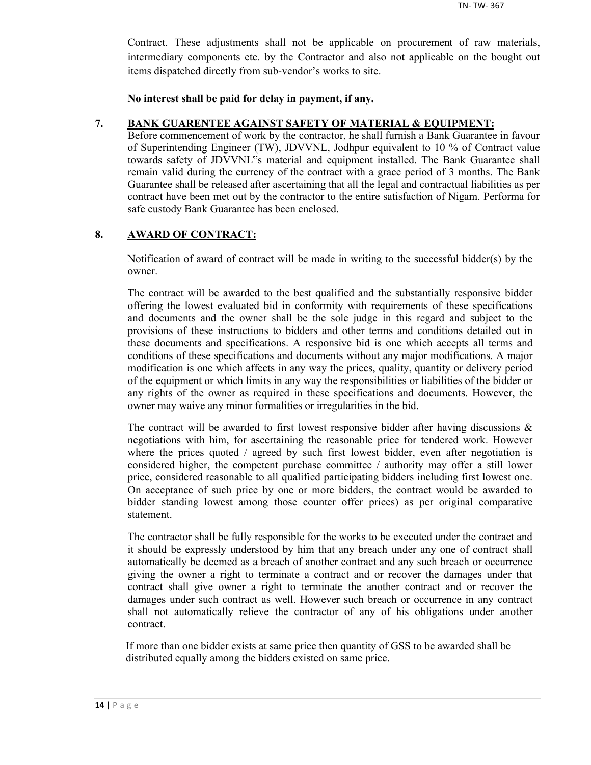Contract. These adjustments shall not be applicable on procurement of raw materials, intermediary components etc. by the Contractor and also not applicable on the bought out items dispatched directly from sub-vendor's works to site.

**No interest shall be paid for delay in payment, if any.**

## **7. BANK GUARENTEE AGAINST SAFETY OF MATERIAL & EQUIPMENT:**

Before commencement of work by the contractor, he shall furnish a Bank Guarantee in favour of Superintending Engineer (TW), JDVVNL, Jodhpur equivalent to 10 % of Contract value towards safety of JDVVNL"s material and equipment installed. The Bank Guarantee shall remain valid during the currency of the contract with a grace period of 3 months. The Bank Guarantee shall be released after ascertaining that all the legal and contractual liabilities as per contract have been met out by the contractor to the entire satisfaction of Nigam. Performa for safe custody Bank Guarantee has been enclosed.

## **8. AWARD OF CONTRACT:**

Notification of award of contract will be made in writing to the successful bidder(s) by the owner.

The contract will be awarded to the best qualified and the substantially responsive bidder offering the lowest evaluated bid in conformity with requirements of these specifications and documents and the owner shall be the sole judge in this regard and subject to the provisions of these instructions to bidders and other terms and conditions detailed out in these documents and specifications. A responsive bid is one which accepts all terms and conditions of these specifications and documents without any major modifications. A major modification is one which affects in any way the prices, quality, quantity or delivery period of the equipment or which limits in any way the responsibilities or liabilities of the bidder or any rights of the owner as required in these specifications and documents. However, the owner may waive any minor formalities or irregularities in the bid.

The contract will be awarded to first lowest responsive bidder after having discussions  $\&$ negotiations with him, for ascertaining the reasonable price for tendered work. However where the prices quoted / agreed by such first lowest bidder, even after negotiation is considered higher, the competent purchase committee / authority may offer a still lower price, considered reasonable to all qualified participating bidders including first lowest one. On acceptance of such price by one or more bidders, the contract would be awarded to bidder standing lowest among those counter offer prices) as per original comparative statement.

The contractor shall be fully responsible for the works to be executed under the contract and it should be expressly understood by him that any breach under any one of contract shall automatically be deemed as a breach of another contract and any such breach or occurrence giving the owner a right to terminate a contract and or recover the damages under that contract shall give owner a right to terminate the another contract and or recover the damages under such contract as well. However such breach or occurrence in any contract shall not automatically relieve the contractor of any of his obligations under another contract.

If more than one bidder exists at same price then quantity of GSS to be awarded shall be distributed equally among the bidders existed on same price.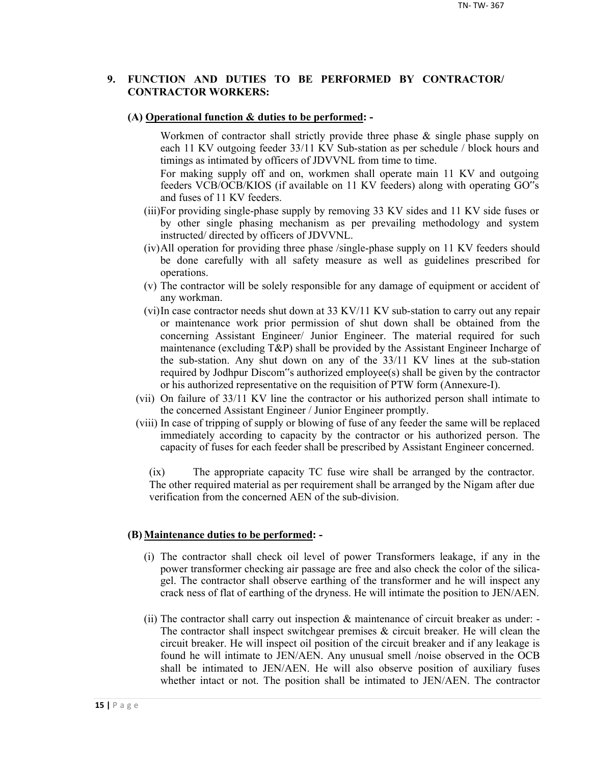## **9. FUNCTION AND DUTIES TO BE PERFORMED BY CONTRACTOR/ CONTRACTOR WORKERS:**

#### **(A) Operational function & duties to be performed: -**

Workmen of contractor shall strictly provide three phase & single phase supply on each 11 KV outgoing feeder 33/11 KV Sub-station as per schedule / block hours and timings as intimated by officers of JDVVNL from time to time.

For making supply off and on, workmen shall operate main 11 KV and outgoing feeders VCB/OCB/KIOS (if available on 11 KV feeders) along with operating GO"s and fuses of 11 KV feeders.

- (iii)For providing single-phase supply by removing 33 KV sides and 11 KV side fuses or by other single phasing mechanism as per prevailing methodology and system instructed/ directed by officers of JDVVNL.
- (iv)All operation for providing three phase /single-phase supply on 11 KV feeders should be done carefully with all safety measure as well as guidelines prescribed for operations.
- (v) The contractor will be solely responsible for any damage of equipment or accident of any workman.
- (vi)In case contractor needs shut down at 33 KV/11 KV sub-station to carry out any repair or maintenance work prior permission of shut down shall be obtained from the concerning Assistant Engineer/ Junior Engineer. The material required for such maintenance (excluding T&P) shall be provided by the Assistant Engineer Incharge of the sub-station. Any shut down on any of the 33/11 KV lines at the sub-station required by Jodhpur Discom"s authorized employee(s) shall be given by the contractor or his authorized representative on the requisition of PTW form (Annexure-I).
- (vii) On failure of 33/11 KV line the contractor or his authorized person shall intimate to the concerned Assistant Engineer / Junior Engineer promptly.
- (viii) In case of tripping of supply or blowing of fuse of any feeder the same will be replaced immediately according to capacity by the contractor or his authorized person. The capacity of fuses for each feeder shall be prescribed by Assistant Engineer concerned.

(ix) The appropriate capacity TC fuse wire shall be arranged by the contractor. The other required material as per requirement shall be arranged by the Nigam after due verification from the concerned AEN of the sub-division.

#### **(B) Maintenance duties to be performed: -**

- (i) The contractor shall check oil level of power Transformers leakage, if any in the power transformer checking air passage are free and also check the color of the silicagel. The contractor shall observe earthing of the transformer and he will inspect any crack ness of flat of earthing of the dryness. He will intimate the position to JEN/AEN.
- (ii) The contractor shall carry out inspection & maintenance of circuit breaker as under: The contractor shall inspect switchgear premises  $\&$  circuit breaker. He will clean the circuit breaker. He will inspect oil position of the circuit breaker and if any leakage is found he will intimate to JEN/AEN. Any unusual smell /noise observed in the OCB shall be intimated to JEN/AEN. He will also observe position of auxiliary fuses whether intact or not. The position shall be intimated to JEN/AEN. The contractor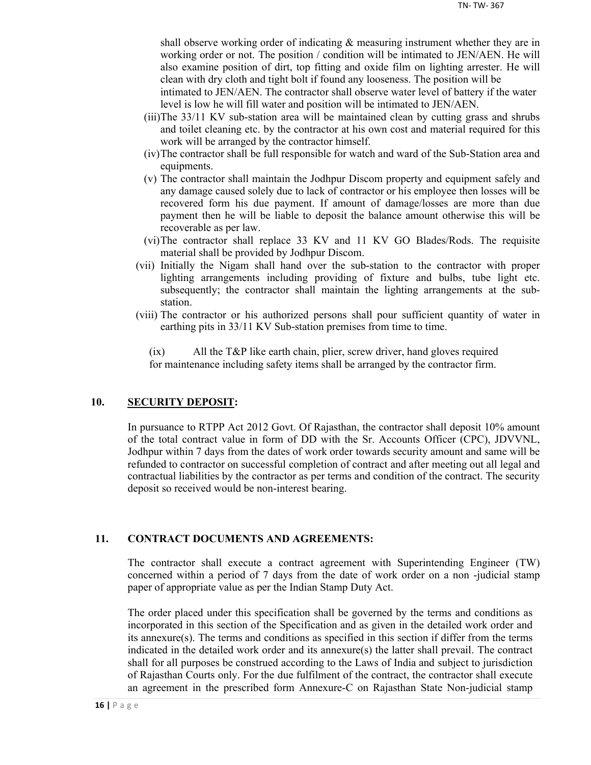shall observe working order of indicating & measuring instrument whether they are in working order or not. The position / condition will be intimated to JEN/AEN. He will also examine position of dirt, top fitting and oxide film on lighting arrester. He will clean with dry cloth and tight bolt if found any looseness. The position will be

intimated to JEN/AEN. The contractor shall observe water level of battery if the water level is low he will fill water and position will be intimated to JEN/AEN.

- (iii)The 33/11 KV sub-station area will be maintained clean by cutting grass and shrubs and toilet cleaning etc. by the contractor at his own cost and material required for this work will be arranged by the contractor himself.
- (iv)The contractor shall be full responsible for watch and ward of the Sub-Station area and equipments.
- (v) The contractor shall maintain the Jodhpur Discom property and equipment safely and any damage caused solely due to lack of contractor or his employee then losses will be recovered form his due payment. If amount of damage/losses are more than due payment then he will be liable to deposit the balance amount otherwise this will be recoverable as per law.
- (vi)The contractor shall replace 33 KV and 11 KV GO Blades/Rods. The requisite material shall be provided by Jodhpur Discom.
- (vii) Initially the Nigam shall hand over the sub-station to the contractor with proper lighting arrangements including providing of fixture and bulbs, tube light etc. subsequently; the contractor shall maintain the lighting arrangements at the substation.
- (viii) The contractor or his authorized persons shall pour sufficient quantity of water in earthing pits in 33/11 KV Sub-station premises from time to time.

(ix) All the T&P like earth chain, plier, screw driver, hand gloves required for maintenance including safety items shall be arranged by the contractor firm.

## **10. SECURITY DEPOSIT:**

In pursuance to RTPP Act 2012 Govt. Of Rajasthan, the contractor shall deposit 10% amount of the total contract value in form of DD with the Sr. Accounts Officer (CPC), JDVVNL, Jodhpur within 7 days from the dates of work order towards security amount and same will be refunded to contractor on successful completion of contract and after meeting out all legal and contractual liabilities by the contractor as per terms and condition of the contract. The security deposit so received would be non-interest bearing.

## **11. CONTRACT DOCUMENTS AND AGREEMENTS:**

The contractor shall execute a contract agreement with Superintending Engineer (TW) concerned within a period of 7 days from the date of work order on a non -judicial stamp paper of appropriate value as per the Indian Stamp Duty Act.

The order placed under this specification shall be governed by the terms and conditions as incorporated in this section of the Specification and as given in the detailed work order and its annexure(s). The terms and conditions as specified in this section if differ from the terms indicated in the detailed work order and its annexure(s) the latter shall prevail. The contract shall for all purposes be construed according to the Laws of India and subject to jurisdiction of Rajasthan Courts only. For the due fulfilment of the contract, the contractor shall execute an agreement in the prescribed form Annexure-C on Rajasthan State Non-judicial stamp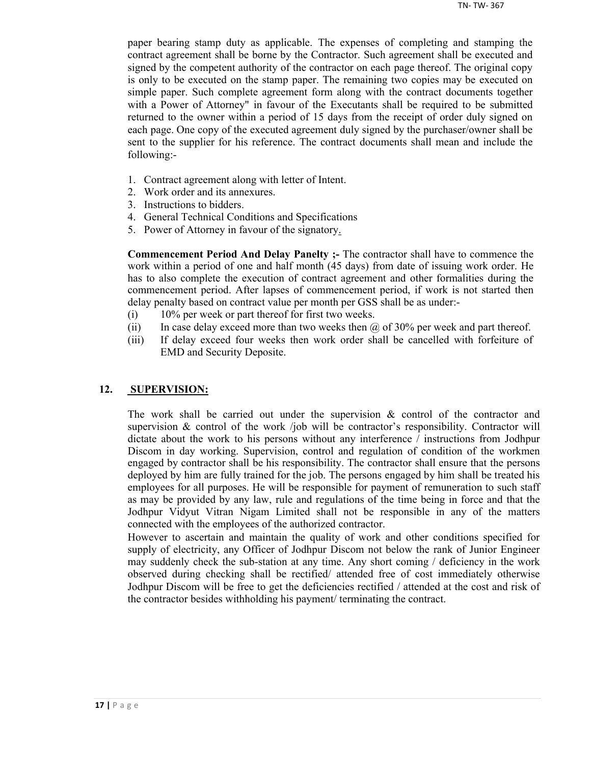paper bearing stamp duty as applicable. The expenses of completing and stamping the contract agreement shall be borne by the Contractor. Such agreement shall be executed and signed by the competent authority of the contractor on each page thereof. The original copy is only to be executed on the stamp paper. The remaining two copies may be executed on simple paper. Such complete agreement form along with the contract documents together with a Power of Attorney" in favour of the Executants shall be required to be submitted returned to the owner within a period of 15 days from the receipt of order duly signed on each page. One copy of the executed agreement duly signed by the purchaser/owner shall be sent to the supplier for his reference. The contract documents shall mean and include the following:-

- 1. Contract agreement along with letter of Intent.
- 2. Work order and its annexures.
- 3. Instructions to bidders.
- 4. General Technical Conditions and Specifications
- 5. Power of Attorney in favour of the signatory.

**Commencement Period And Delay Panelty ;-** The contractor shall have to commence the work within a period of one and half month (45 days) from date of issuing work order. He has to also complete the execution of contract agreement and other formalities during the commencement period. After lapses of commencement period, if work is not started then delay penalty based on contract value per month per GSS shall be as under:-

- (i) 10% per week or part thereof for first two weeks.
- (ii) In case delay exceed more than two weeks then  $\omega$  of 30% per week and part thereof.
- (iii) If delay exceed four weeks then work order shall be cancelled with forfeiture of EMD and Security Deposite.

## **12. SUPERVISION:**

The work shall be carried out under the supervision  $\&$  control of the contractor and supervision  $\&$  control of the work /job will be contractor's responsibility. Contractor will dictate about the work to his persons without any interference / instructions from Jodhpur Discom in day working. Supervision, control and regulation of condition of the workmen engaged by contractor shall be his responsibility. The contractor shall ensure that the persons deployed by him are fully trained for the job. The persons engaged by him shall be treated his employees for all purposes. He will be responsible for payment of remuneration to such staff as may be provided by any law, rule and regulations of the time being in force and that the Jodhpur Vidyut Vitran Nigam Limited shall not be responsible in any of the matters connected with the employees of the authorized contractor.

However to ascertain and maintain the quality of work and other conditions specified for supply of electricity, any Officer of Jodhpur Discom not below the rank of Junior Engineer may suddenly check the sub-station at any time. Any short coming / deficiency in the work observed during checking shall be rectified/ attended free of cost immediately otherwise Jodhpur Discom will be free to get the deficiencies rectified / attended at the cost and risk of the contractor besides withholding his payment/ terminating the contract.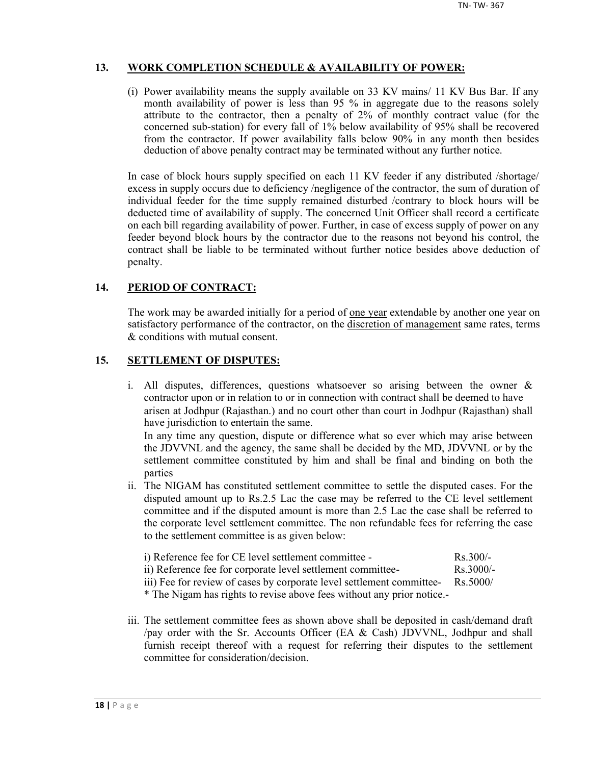## **13. WORK COMPLETION SCHEDULE & AVAILABILITY OF POWER:**

(i) Power availability means the supply available on 33 KV mains/ 11 KV Bus Bar. If any month availability of power is less than 95 % in aggregate due to the reasons solely attribute to the contractor, then a penalty of 2% of monthly contract value (for the concerned sub-station) for every fall of 1% below availability of 95% shall be recovered from the contractor. If power availability falls below 90% in any month then besides deduction of above penalty contract may be terminated without any further notice.

In case of block hours supply specified on each 11 KV feeder if any distributed /shortage/ excess in supply occurs due to deficiency /negligence of the contractor, the sum of duration of individual feeder for the time supply remained disturbed /contrary to block hours will be deducted time of availability of supply. The concerned Unit Officer shall record a certificate on each bill regarding availability of power. Further, in case of excess supply of power on any feeder beyond block hours by the contractor due to the reasons not beyond his control, the contract shall be liable to be terminated without further notice besides above deduction of penalty.

## **14. PERIOD OF CONTRACT:**

The work may be awarded initially for a period of <u>one year</u> extendable by another one year on satisfactory performance of the contractor, on the discretion of management same rates, terms & conditions with mutual consent.

## **15. SETTLEMENT OF DISPUTES:**

- i. All disputes, differences, questions whatsoever so arising between the owner & contractor upon or in relation to or in connection with contract shall be deemed to have arisen at Jodhpur (Rajasthan.) and no court other than court in Jodhpur (Rajasthan) shall have jurisdiction to entertain the same. In any time any question, dispute or difference what so ever which may arise between the JDVVNL and the agency, the same shall be decided by the MD, JDVVNL or by the settlement committee constituted by him and shall be final and binding on both the parties
- ii. The NIGAM has constituted settlement committee to settle the disputed cases. For the disputed amount up to Rs.2.5 Lac the case may be referred to the CE level settlement committee and if the disputed amount is more than 2.5 Lac the case shall be referred to the corporate level settlement committee. The non refundable fees for referring the case to the settlement committee is as given below:

| i) Reference fee for CE level settlement committee -        | $Rs$ 300/-          |
|-------------------------------------------------------------|---------------------|
| ii) Reference fee for corporate level settlement committee- | $\text{Rs } 3000/-$ |

iii) Fee for review of cases by corporate level settlement committee- Rs.5000/

\* The Nigam has rights to revise above fees without any prior notice.-

iii. The settlement committee fees as shown above shall be deposited in cash/demand draft /pay order with the Sr. Accounts Officer (EA & Cash) JDVVNL, Jodhpur and shall furnish receipt thereof with a request for referring their disputes to the settlement committee for consideration/decision.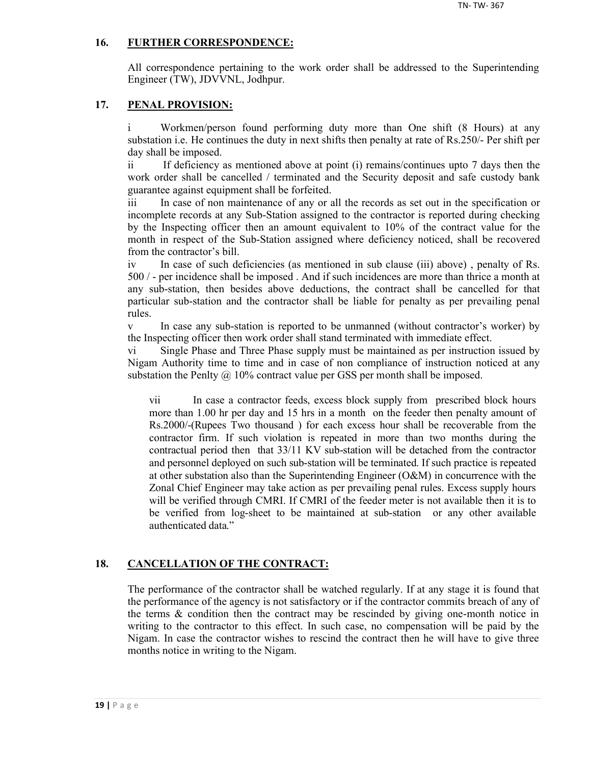## **16. FURTHER CORRESPONDENCE:**

All correspondence pertaining to the work order shall be addressed to the Superintending Engineer (TW), JDVVNL, Jodhpur.

## **17. PENAL PROVISION:**

i Workmen/person found performing duty more than One shift (8 Hours) at any substation i.e. He continues the duty in next shifts then penalty at rate of Rs.250/- Per shift per day shall be imposed.

ii If deficiency as mentioned above at point (i) remains/continues upto 7 days then the work order shall be cancelled / terminated and the Security deposit and safe custody bank guarantee against equipment shall be forfeited.

iii In case of non maintenance of any or all the records as set out in the specification or incomplete records at any Sub-Station assigned to the contractor is reported during checking by the Inspecting officer then an amount equivalent to 10% of the contract value for the month in respect of the Sub-Station assigned where deficiency noticed, shall be recovered from the contractor's bill.

iv In case of such deficiencies (as mentioned in sub clause (iii) above) , penalty of Rs. 500 / - per incidence shall be imposed . And if such incidences are more than thrice a month at any sub-station, then besides above deductions, the contract shall be cancelled for that particular sub-station and the contractor shall be liable for penalty as per prevailing penal rules.

v In case any sub-station is reported to be unmanned (without contractor's worker) by the Inspecting officer then work order shall stand terminated with immediate effect.

vi Single Phase and Three Phase supply must be maintained as per instruction issued by Nigam Authority time to time and in case of non compliance of instruction noticed at any substation the Penlty  $\omega$  10% contract value per GSS per month shall be imposed.

vii In case a contractor feeds, excess block supply from prescribed block hours more than 1.00 hr per day and 15 hrs in a month on the feeder then penalty amount of Rs.2000/-(Rupees Two thousand ) for each excess hour shall be recoverable from the contractor firm. If such violation is repeated in more than two months during the contractual period then that 33/11 KV sub-station will be detached from the contractor and personnel deployed on such sub-station will be terminated. If such practice is repeated at other substation also than the Superintending Engineer (O&M) in concurrence with the Zonal Chief Engineer may take action as per prevailing penal rules. Excess supply hours will be verified through CMRI. If CMRI of the feeder meter is not available then it is to be verified from log-sheet to be maintained at sub-station or any other available authenticated data."

## **18. CANCELLATION OF THE CONTRACT:**

The performance of the contractor shall be watched regularly. If at any stage it is found that the performance of the agency is not satisfactory or if the contractor commits breach of any of the terms  $\&$  condition then the contract may be rescinded by giving one-month notice in writing to the contractor to this effect. In such case, no compensation will be paid by the Nigam. In case the contractor wishes to rescind the contract then he will have to give three months notice in writing to the Nigam.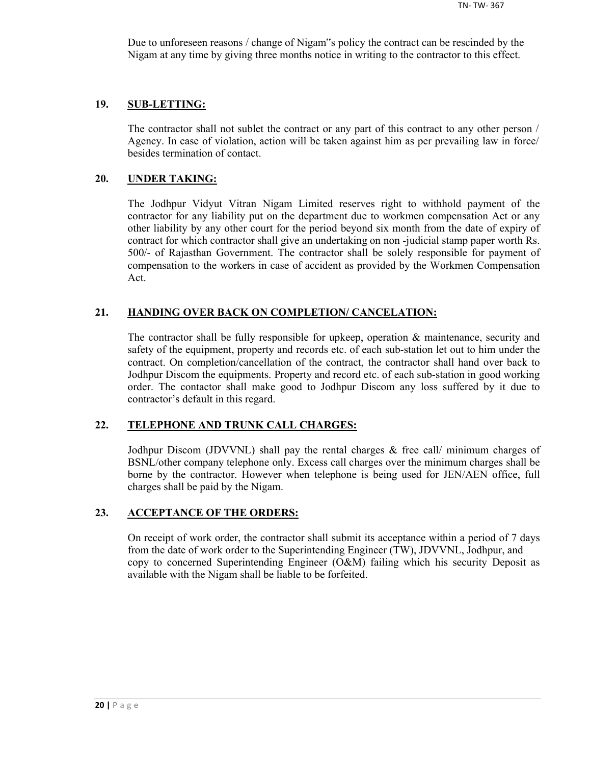Due to unforeseen reasons / change of Nigam"s policy the contract can be rescinded by the Nigam at any time by giving three months notice in writing to the contractor to this effect.

#### **19. SUB-LETTING:**

The contractor shall not sublet the contract or any part of this contract to any other person / Agency. In case of violation, action will be taken against him as per prevailing law in force/ besides termination of contact.

#### **20. UNDER TAKING:**

The Jodhpur Vidyut Vitran Nigam Limited reserves right to withhold payment of the contractor for any liability put on the department due to workmen compensation Act or any other liability by any other court for the period beyond six month from the date of expiry of contract for which contractor shall give an undertaking on non -judicial stamp paper worth Rs. 500/- of Rajasthan Government. The contractor shall be solely responsible for payment of compensation to the workers in case of accident as provided by the Workmen Compensation Act.

## **21. HANDING OVER BACK ON COMPLETION/ CANCELATION:**

The contractor shall be fully responsible for upkeep, operation & maintenance, security and safety of the equipment, property and records etc. of each sub-station let out to him under the contract. On completion/cancellation of the contract, the contractor shall hand over back to Jodhpur Discom the equipments. Property and record etc. of each sub-station in good working order. The contactor shall make good to Jodhpur Discom any loss suffered by it due to contractor's default in this regard.

## **22. TELEPHONE AND TRUNK CALL CHARGES:**

Jodhpur Discom (JDVVNL) shall pay the rental charges & free call/ minimum charges of BSNL/other company telephone only. Excess call charges over the minimum charges shall be borne by the contractor. However when telephone is being used for JEN/AEN office, full charges shall be paid by the Nigam.

## **23. ACCEPTANCE OF THE ORDERS:**

On receipt of work order, the contractor shall submit its acceptance within a period of 7 days from the date of work order to the Superintending Engineer (TW), JDVVNL, Jodhpur, and copy to concerned Superintending Engineer (O&M) failing which his security Deposit as available with the Nigam shall be liable to be forfeited.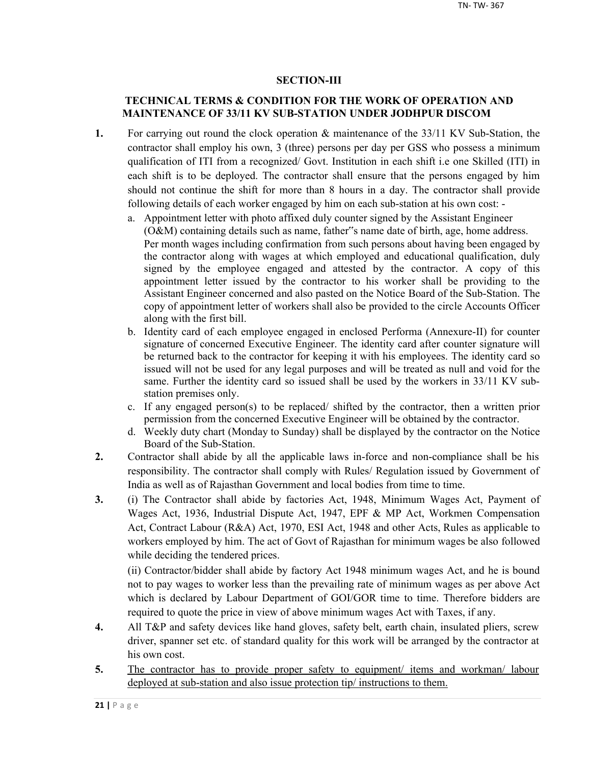## **SECTION-III**

## **TECHNICAL TERMS & CONDITION FOR THE WORK OF OPERATION AND MAINTENANCE OF 33/11 KV SUB-STATION UNDER JODHPUR DISCOM**

- **1.** For carrying out round the clock operation & maintenance of the 33/11 KV Sub-Station, the contractor shall employ his own, 3 (three) persons per day per GSS who possess a minimum qualification of ITI from a recognized/ Govt. Institution in each shift i.e one Skilled (ITI) in each shift is to be deployed. The contractor shall ensure that the persons engaged by him should not continue the shift for more than 8 hours in a day. The contractor shall provide following details of each worker engaged by him on each sub-station at his own cost:
	- a. Appointment letter with photo affixed duly counter signed by the Assistant Engineer (O&M) containing details such as name, father"s name date of birth, age, home address. Per month wages including confirmation from such persons about having been engaged by the contractor along with wages at which employed and educational qualification, duly signed by the employee engaged and attested by the contractor. A copy of this appointment letter issued by the contractor to his worker shall be providing to the Assistant Engineer concerned and also pasted on the Notice Board of the Sub-Station. The copy of appointment letter of workers shall also be provided to the circle Accounts Officer along with the first bill.
	- b. Identity card of each employee engaged in enclosed Performa (Annexure-II) for counter signature of concerned Executive Engineer. The identity card after counter signature will be returned back to the contractor for keeping it with his employees. The identity card so issued will not be used for any legal purposes and will be treated as null and void for the same. Further the identity card so issued shall be used by the workers in 33/11 KV substation premises only.
	- c. If any engaged person(s) to be replaced/ shifted by the contractor, then a written prior permission from the concerned Executive Engineer will be obtained by the contractor.
	- d. Weekly duty chart (Monday to Sunday) shall be displayed by the contractor on the Notice Board of the Sub-Station.
- **2.** Contractor shall abide by all the applicable laws in-force and non-compliance shall be his responsibility. The contractor shall comply with Rules/ Regulation issued by Government of India as well as of Rajasthan Government and local bodies from time to time.
- **3.** (i) The Contractor shall abide by factories Act, 1948, Minimum Wages Act, Payment of Wages Act, 1936, Industrial Dispute Act, 1947, EPF & MP Act, Workmen Compensation Act, Contract Labour (R&A) Act, 1970, ESI Act, 1948 and other Acts, Rules as applicable to workers employed by him. The act of Govt of Rajasthan for minimum wages be also followed while deciding the tendered prices.

(ii) Contractor/bidder shall abide by factory Act 1948 minimum wages Act, and he is bound not to pay wages to worker less than the prevailing rate of minimum wages as per above Act which is declared by Labour Department of GOI/GOR time to time. Therefore bidders are required to quote the price in view of above minimum wages Act with Taxes, if any.

- **4.** All T&P and safety devices like hand gloves, safety belt, earth chain, insulated pliers, screw driver, spanner set etc. of standard quality for this work will be arranged by the contractor at his own cost.
- 5. The contractor has to provide proper safety to equipment/ items and workman/ labour deployed at sub-station and also issue protection tip/ instructions to them.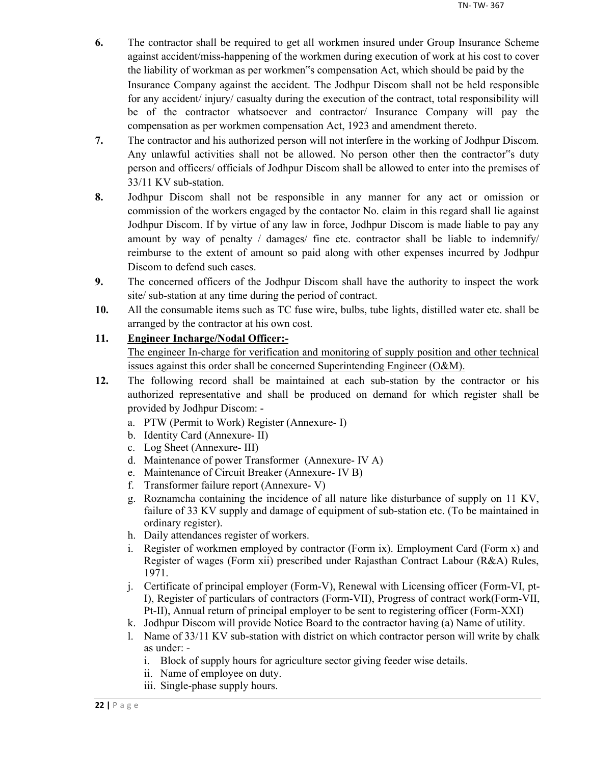- **6.** The contractor shall be required to get all workmen insured under Group Insurance Scheme against accident/miss-happening of the workmen during execution of work at his cost to cover the liability of workman as per workmen"s compensation Act, which should be paid by the Insurance Company against the accident. The Jodhpur Discom shall not be held responsible for any accident/ injury/ casualty during the execution of the contract, total responsibility will be of the contractor whatsoever and contractor/ Insurance Company will pay the compensation as per workmen compensation Act, 1923 and amendment thereto.
- **7.** The contractor and his authorized person will not interfere in the working of Jodhpur Discom. Any unlawful activities shall not be allowed. No person other then the contractor"s duty person and officers/ officials of Jodhpur Discom shall be allowed to enter into the premises of 33/11 KV sub-station.
- **8.** Jodhpur Discom shall not be responsible in any manner for any act or omission or commission of the workers engaged by the contactor No. claim in this regard shall lie against Jodhpur Discom. If by virtue of any law in force, Jodhpur Discom is made liable to pay any amount by way of penalty / damages/ fine etc. contractor shall be liable to indemnify/ reimburse to the extent of amount so paid along with other expenses incurred by Jodhpur Discom to defend such cases.
- **9.** The concerned officers of the Jodhpur Discom shall have the authority to inspect the work site/ sub-station at any time during the period of contract.
- **10.** All the consumable items such as TC fuse wire, bulbs, tube lights, distilled water etc. shall be arranged by the contractor at his own cost.

## **11. Engineer Incharge/Nodal Officer:-**

The engineer In-charge for verification and monitoring of supply position and other technical issues against this order shall be concerned Superintending Engineer (O&M).

- **12.** The following record shall be maintained at each sub-station by the contractor or his authorized representative and shall be produced on demand for which register shall be provided by Jodhpur Discom:
	- a. PTW (Permit to Work) Register (Annexure- I)
	- b. Identity Card (Annexure- II)
	- c. Log Sheet (Annexure- III)
	- d. Maintenance of power Transformer (Annexure- IV A)
	- e. Maintenance of Circuit Breaker (Annexure- IV B)
	- f. Transformer failure report (Annexure- V)
	- g. Roznamcha containing the incidence of all nature like disturbance of supply on 11 KV, failure of 33 KV supply and damage of equipment of sub-station etc. (To be maintained in ordinary register).
	- h. Daily attendances register of workers.
	- i. Register of workmen employed by contractor (Form ix). Employment Card (Form x) and Register of wages (Form xii) prescribed under Rajasthan Contract Labour (R&A) Rules, 1971.
	- j. Certificate of principal employer (Form-V), Renewal with Licensing officer (Form-VI, pt-I), Register of particulars of contractors (Form-VII), Progress of contract work(Form-VII, Pt-II), Annual return of principal employer to be sent to registering officer (Form-XXI)
	- k. Jodhpur Discom will provide Notice Board to the contractor having (a) Name of utility.
	- l. Name of 33/11 KV sub-station with district on which contractor person will write by chalk as under:
		- i. Block of supply hours for agriculture sector giving feeder wise details.
		- ii. Name of employee on duty.
		- iii. Single-phase supply hours.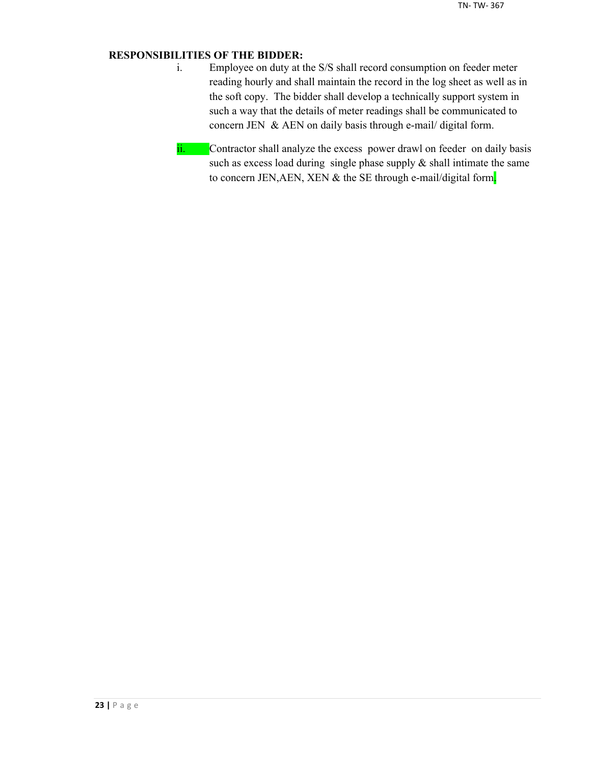## **RESPONSIBILITIES OF THE BIDDER:**

- i. Employee on duty at the S/S shall record consumption on feeder meter reading hourly and shall maintain the record in the log sheet as well as in the soft copy. The bidder shall develop a technically support system in such a way that the details of meter readings shall be communicated to concern JEN & AEN on daily basis through e-mail/ digital form.
- ii. Contractor shall analyze the excess power drawl on feeder on daily basis such as excess load during single phase supply  $\&$  shall intimate the same to concern JEN, AEN, XEN & the SE through e-mail/digital form.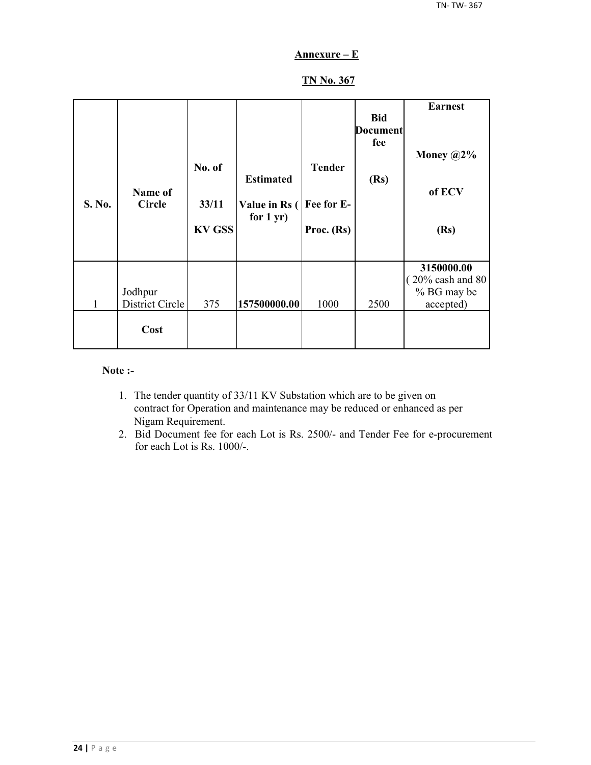## **Annexure – E**

## **TN No. 367**

| S. No. | Name of<br><b>Circle</b>   | No. of<br>33/11<br><b>KV GSS</b> | <b>Estimated</b><br>Value in Rs (<br>for $1 yr$ ) | <b>Tender</b><br>Fee for E-<br>Proc. $(Rs)$ | <b>Bid</b><br><b>Document</b><br>fee<br>(Rs) | <b>Earnest</b><br>Money $@2\%$<br>of ECV<br>(Rs)          |
|--------|----------------------------|----------------------------------|---------------------------------------------------|---------------------------------------------|----------------------------------------------|-----------------------------------------------------------|
| 1      | Jodhpur<br>District Circle | 375                              | 157500000.00                                      | 1000                                        | 2500                                         | 3150000.00<br>20% cash and 80<br>% BG may be<br>accepted) |
|        | Cost                       |                                  |                                                   |                                             |                                              |                                                           |

#### **Note :-**

- 1. The tender quantity of 33/11 KV Substation which are to be given on contract for Operation and maintenance may be reduced or enhanced as per Nigam Requirement.
- 2. Bid Document fee for each Lot is Rs. 2500/- and Tender Fee for e-procurement for each Lot is Rs. 1000/-.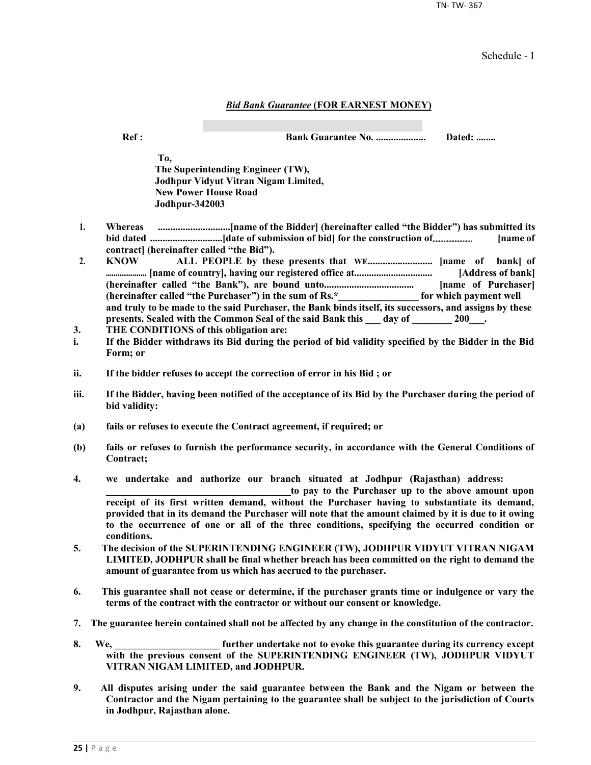TN- TW- 367

Schedule - I

#### *Bid Bank Guarantee* **(FOR EARNEST MONEY)**

**Ref : Bank Guarantee No. .................... Dated: ........**

**To, The Superintending Engineer (TW), Jodhpur Vidyut Vitran Nigam Limited, New Power House Road Jodhpur-342003**

- **1. Whereas .............................[name of the Bidder] (hereinafter called "the Bidder") has submitted its bid dated .............................[date of submission of bid] for the construction of......................... [name of contract] (hereinafter called "the Bid").**
- **2. KNOW ALL PEOPLE by these presents that WE.......................... [name of bank] of ..................... [name of country], having our registered office at................................ [Address of bank] (hereinafter called "the Bank"), are bound unto.................................... [name of Purchaser] (hereinafter called "the Purchaser") in the sum of Rs.\*\_\_\_\_\_\_\_\_\_\_\_\_\_\_\_\_ for which payment well and truly to be made to the said Purchaser, the Bank binds itself, its successors, and assigns by these**  presents. Sealed with the Common Seal of the said Bank this \_\_\_ day of \_\_\_\_\_\_\_ 200\_\_\_.
- **3. THE CONDITIONS of this obligation are:**
- **i. If the Bidder withdraws its Bid during the period of bid validity specified by the Bidder in the Bid Form; or**
- **ii. If the bidder refuses to accept the correction of error in his Bid ; or**
- **iii. If the Bidder, having been notified of the acceptance of its Bid by the Purchaser during the period of bid validity:**
- **(a) fails or refuses to execute the Contract agreement, if required; or**
- **(b) fails or refuses to furnish the performance security, in accordance with the General Conditions of Contract;**
- **4. we undertake and authorize our branch situated at Jodhpur (Rajasthan) address:**

to pay to the Purchaser up to the above amount upon **receipt of its first written demand, without the Purchaser having to substantiate its demand, provided that in its demand the Purchaser will note that the amount claimed by it is due to it owing to the occurrence of one or all of the three conditions, specifying the occurred condition or conditions.**

- **5. The decision of the SUPERINTENDING ENGINEER (TW), JODHPUR VIDYUT VITRAN NIGAM LIMITED, JODHPUR shall be final whether breach has been committed on the right to demand the amount of guarantee from us which has accrued to the purchaser.**
- **6. This guarantee shall not cease or determine, if the purchaser grants time or indulgence or vary the terms of the contract with the contractor or without our consent or knowledge.**
- **7. The guarantee herein contained shall not be affected by any change in the constitution of the contractor.**
- **8. We, \_\_\_\_\_\_\_\_\_\_\_\_\_\_\_\_\_\_\_\_\_ further undertake not to evoke this guarantee during its currency except with the previous consent of the SUPERINTENDING ENGINEER (TW), JODHPUR VIDYUT VITRAN NIGAM LIMITED, and JODHPUR.**
- **9. All disputes arising under the said guarantee between the Bank and the Nigam or between the Contractor and the Nigam pertaining to the guarantee shall be subject to the jurisdiction of Courts in Jodhpur, Rajasthan alone.**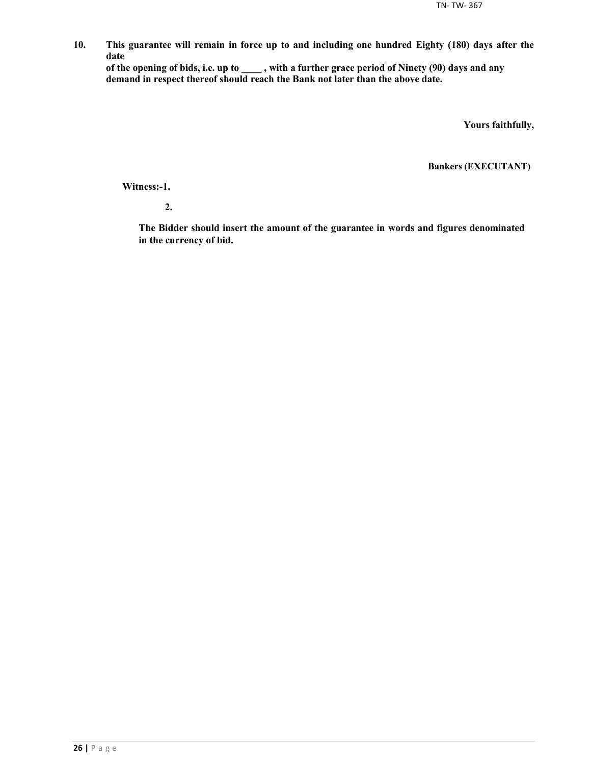**10. This guarantee will remain in force up to and including one hundred Eighty (180) days after the date**

**of the opening of bids, i.e. up to \_\_\_\_ , with a further grace period of Ninety (90) days and any demand in respect thereof should reach the Bank not later than the above date.**

**Yours faithfully,**

**Bankers (EXECUTANT)**

**Witness:-1.**

**2.**

**The Bidder should insert the amount of the guarantee in words and figures denominated in the currency of bid.**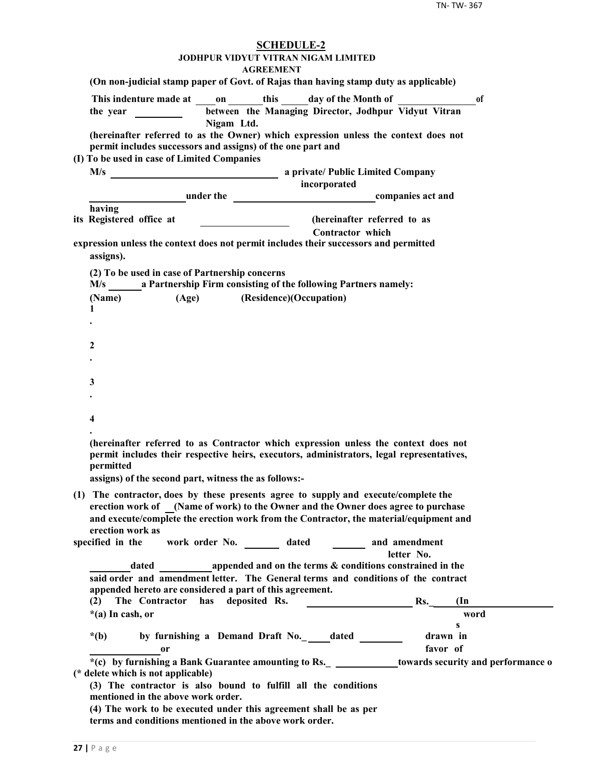| <b>SCHEDULE-2</b><br><b>JODHPUR VIDYUT VITRAN NIGAM LIMITED</b><br><b>AGREEMENT</b>                                                                                                                                                                                                                        |
|------------------------------------------------------------------------------------------------------------------------------------------------------------------------------------------------------------------------------------------------------------------------------------------------------------|
| (On non-judicial stamp paper of Govt. of Rajas than having stamp duty as applicable)                                                                                                                                                                                                                       |
| This indenture made at on this day of the Month of<br><sub>of</sub><br>between the Managing Director, Jodhpur Vidyut Vitran<br>Nigam Ltd.                                                                                                                                                                  |
| (hereinafter referred to as the Owner) which expression unless the context does not<br>permit includes successors and assigns) of the one part and                                                                                                                                                         |
| (I) To be used in case of Limited Companies<br>incorporated                                                                                                                                                                                                                                                |
| <b>Example 2018</b> under the <u>companies act and</u>                                                                                                                                                                                                                                                     |
| having                                                                                                                                                                                                                                                                                                     |
| (hereinafter referred to as<br>its Registered office at<br><u> 1990 - John Harry Harry Harry Harry Harry Harry Harry Harry Harry Harry Harry Harry Harry Harry Harry Harry</u><br>Contractor which                                                                                                         |
| expression unless the context does not permit includes their successors and permitted<br>assigns).                                                                                                                                                                                                         |
| (2) To be used in case of Partnership concerns<br>M/s a Partnership Firm consisting of the following Partners namely:                                                                                                                                                                                      |
| (Age) (Residence)(Occupation)<br>(Name)                                                                                                                                                                                                                                                                    |
| 1                                                                                                                                                                                                                                                                                                          |
|                                                                                                                                                                                                                                                                                                            |
| 2                                                                                                                                                                                                                                                                                                          |
|                                                                                                                                                                                                                                                                                                            |
| 3                                                                                                                                                                                                                                                                                                          |
|                                                                                                                                                                                                                                                                                                            |
| 4                                                                                                                                                                                                                                                                                                          |
| (hereinafter referred to as Contractor which expression unless the context does not<br>permit includes their respective heirs, executors, administrators, legal representatives,<br>permitted<br>assigns) of the second part, witness the as follows:-                                                     |
| (1) The contractor, does by these presents agree to supply and execute/complete the<br>erection work of (Name of work) to the Owner and the Owner does agree to purchase<br>and execute/complete the erection work from the Contractor, the material/equipment and<br>erection work as<br>specified in the |
| work order No. _________ dated _________ and amendment<br>letter No.                                                                                                                                                                                                                                       |
| dated appended and on the terms & conditions constrained in the                                                                                                                                                                                                                                            |
| said order and amendment letter. The General terms and conditions of the contract                                                                                                                                                                                                                          |
| appended hereto are considered a part of this agreement.                                                                                                                                                                                                                                                   |
| The Contractor has deposited Rs.<br>Rs.<br>(2)<br>$(\ln$                                                                                                                                                                                                                                                   |
| *(a) In cash, or<br>word<br>s                                                                                                                                                                                                                                                                              |
| drawn in<br>$*(b)$<br>by furnishing a Demand Draft No. _____dated __________                                                                                                                                                                                                                               |
| favor of<br><sub>or</sub>                                                                                                                                                                                                                                                                                  |
| *(c) by furnishing a Bank Guarantee amounting to Rs. _ _____________towards security and performance o<br>(* delete which is not applicable)                                                                                                                                                               |
| (3) The contractor is also bound to fulfill all the conditions<br>mentioned in the above work order.                                                                                                                                                                                                       |
| (4) The work to be executed under this agreement shall be as per<br>terms and conditions mentioned in the above work order.                                                                                                                                                                                |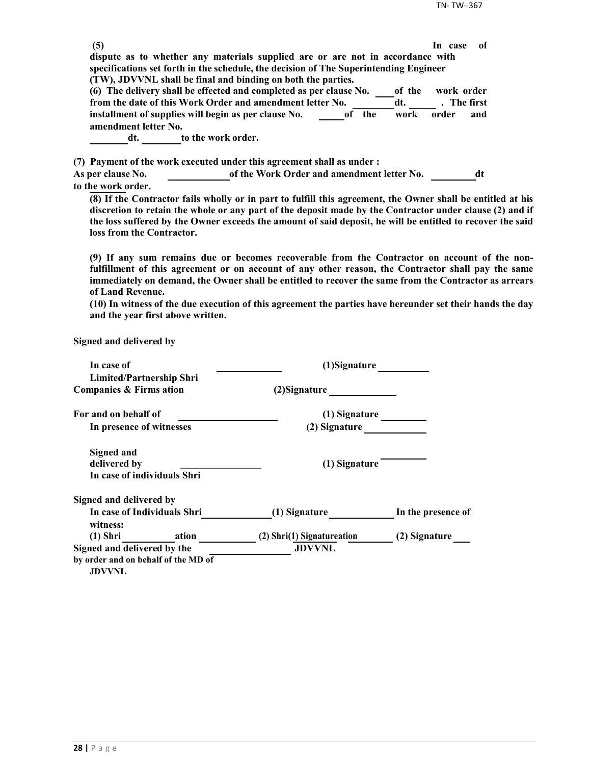| (5)                                                                                                         |                                            |                | In case      | -of |
|-------------------------------------------------------------------------------------------------------------|--------------------------------------------|----------------|--------------|-----|
| dispute as to whether any materials supplied are or are not in accordance with                              |                                            |                |              |     |
| specifications set forth in the schedule, the decision of The Superintending Engineer                       |                                            |                |              |     |
| (TW), JDVVNL shall be final and binding on both the parties.                                                |                                            |                |              |     |
| (6) The delivery shall be effected and completed as per clause No.                                          |                                            | of the         | work order   |     |
| from the date of this Work Order and amendment letter No.                                                   |                                            | dt.            | . The first  |     |
| installment of supplies will begin as per clause No.                                                        |                                            | of the<br>work | order<br>and |     |
| amendment letter No.                                                                                        |                                            |                |              |     |
| to the work order.<br>dt.                                                                                   |                                            |                |              |     |
| (7) Payment of the work executed under this agreement shall as under :                                      |                                            |                |              |     |
| <b>As per clause No.</b>                                                                                    | of the Work Order and amendment letter No. |                |              | dt  |
| to the work order.                                                                                          |                                            |                |              |     |
| (8) If the Contractor fails wholly or in part to fulfill this agreement, the Owner shall be entitled at his |                                            |                |              |     |

**discretion to retain the whole or any part of the deposit made by the Contractor under clause (2) and if the loss suffered by the Owner exceeds the amount of said deposit, he will be entitled to recover the said loss from the Contractor.**

**(9) If any sum remains due or becomes recoverable from the Contractor on account of the nonfulfillment of this agreement or on account of any other reason, the Contractor shall pay the same immediately on demand, the Owner shall be entitled to recover the same from the Contractor as arrears of Land Revenue.**

**(10) In witness of the due execution of this agreement the parties have hereunder set their hands the day and the year first above written.**

**Signed and delivered by**

| In case of                                           | (1)Signature               |                    |  |
|------------------------------------------------------|----------------------------|--------------------|--|
| <b>Limited/Partnership Shri</b>                      |                            |                    |  |
| Companies & Firms ation                              | (2) Signature              |                    |  |
| For and on behalf of                                 | (1) Signature              |                    |  |
| In presence of witnesses                             | (2) Signature              |                    |  |
| <b>Signed and</b>                                    |                            |                    |  |
| delivered by                                         | (1) Signature              |                    |  |
| In case of individuals Shri                          |                            |                    |  |
| Signed and delivered by                              |                            |                    |  |
| In case of Individuals Shri<br>witness:              | (1) Signature              | In the presence of |  |
| (1) Shri ation                                       | (2) Shri(1) Signatureation | (2) Signature      |  |
| Signed and delivered by the                          | <b>JDVVNL</b>              |                    |  |
| by order and on behalf of the MD of<br><b>JDVVNL</b> |                            |                    |  |
|                                                      |                            |                    |  |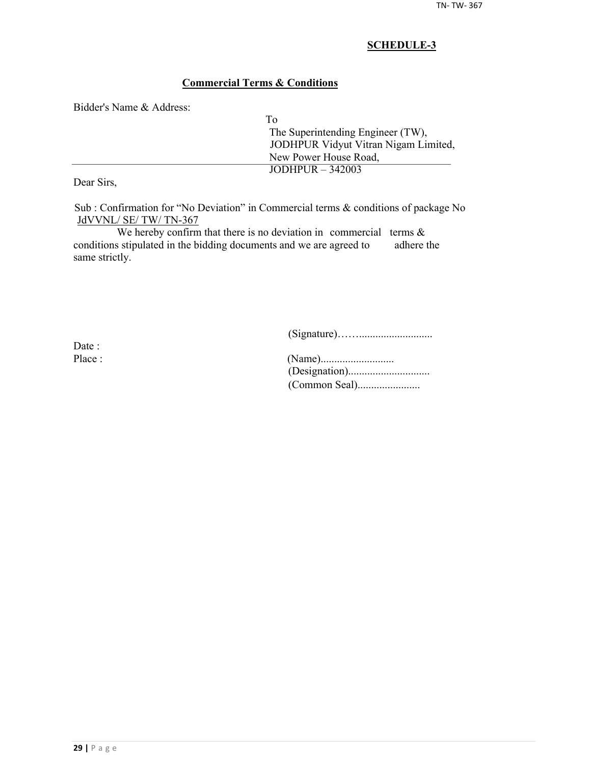## **Commercial Terms & Conditions**

Bidder's Name & Address:

| To |                                      |
|----|--------------------------------------|
|    | The Superintending Engineer (TW),    |
|    | JODHPUR Vidyut Vitran Nigam Limited, |
|    | New Power House Road,                |
|    | JODHPUR $-342003$                    |
|    |                                      |

Dear Sirs,

Sub : Confirmation for "No Deviation" in Commercial terms & conditions of package No JdVVNL/ SE/ TW/ TN-367

We hereby confirm that there is no deviation in commercial terms  $\&$ conditions stipulated in the bidding documents and we are agreed to adhere the same strictly.

(Signature)……...........................

Date :

| Place : |  |
|---------|--|
|         |  |
|         |  |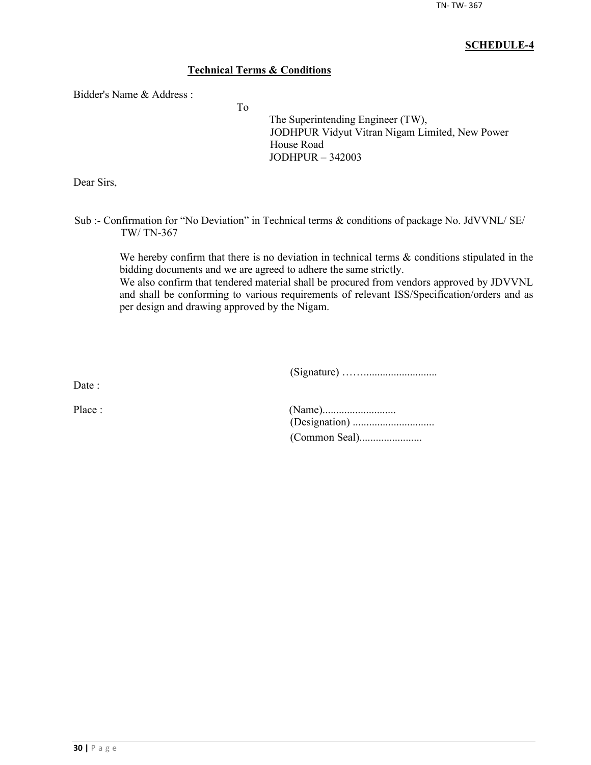## **Technical Terms & Conditions**

To

Bidder's Name & Address :

The Superintending Engineer (TW), JODHPUR Vidyut Vitran Nigam Limited, New Power House Road JODHPUR – 342003

Dear Sirs,

Sub :- Confirmation for "No Deviation" in Technical terms & conditions of package No. JdVVNL/ SE/ TW/ TN-367

We hereby confirm that there is no deviation in technical terms  $\&$  conditions stipulated in the bidding documents and we are agreed to adhere the same strictly.

We also confirm that tendered material shall be procured from vendors approved by JDVVNL and shall be conforming to various requirements of relevant ISS/Specification/orders and as per design and drawing approved by the Nigam.

(Signature) ……...........................

Date :

| Place : |  |
|---------|--|
|         |  |
|         |  |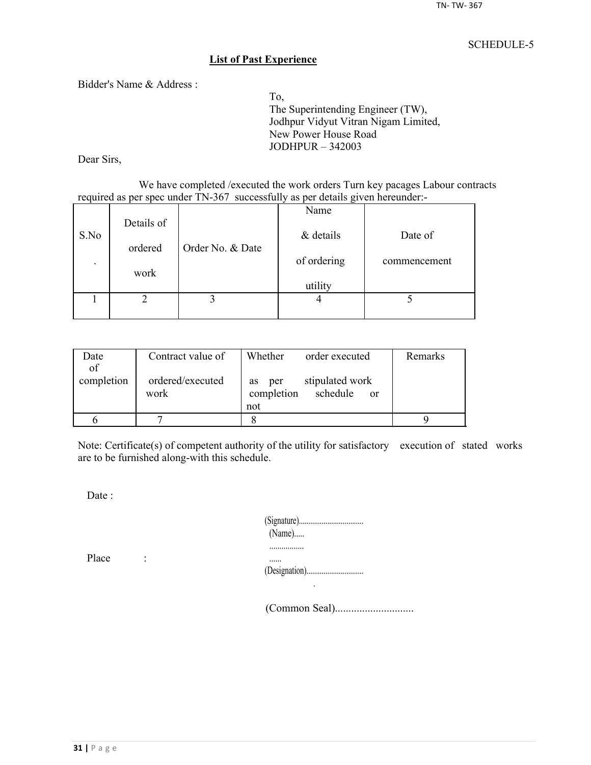## **List of Past Experience**

Bidder's Name & Address :

To, The Superintending Engineer (TW), Jodhpur Vidyut Vitran Nigam Limited, New Power House Road JODHPUR – 342003

Dear Sirs,

We have completed /executed the work orders Turn key pacages Labour contracts required as per spec under TN-367 successfully as per details given hereunder:-

|                          |            |                  | Name        |              |
|--------------------------|------------|------------------|-------------|--------------|
| S.No                     | Details of |                  | & details   | Date of      |
|                          | ordered    | Order No. & Date |             |              |
| $\overline{\phantom{a}}$ |            |                  | of ordering | commencement |
|                          | work       |                  | utility     |              |
|                          |            |                  |             |              |
|                          |            |                  |             |              |

| Date       | Contract value of        | Whether<br>order executed                                     | Remarks |
|------------|--------------------------|---------------------------------------------------------------|---------|
| of         |                          |                                                               |         |
| completion | ordered/executed<br>work | stipulated work<br>per<br><b>as</b><br>completion<br>schedule |         |
|            |                          | <sub>or</sub><br>not                                          |         |
|            |                          |                                                               |         |
|            |                          |                                                               |         |

Note: Certificate(s) of competent authority of the utility for satisfactory execution of stated works are to be furnished along-with this schedule.

Date :

| $(Name)$ |  |
|----------|--|
|          |  |
|          |  |

Place :

(Common Seal).............................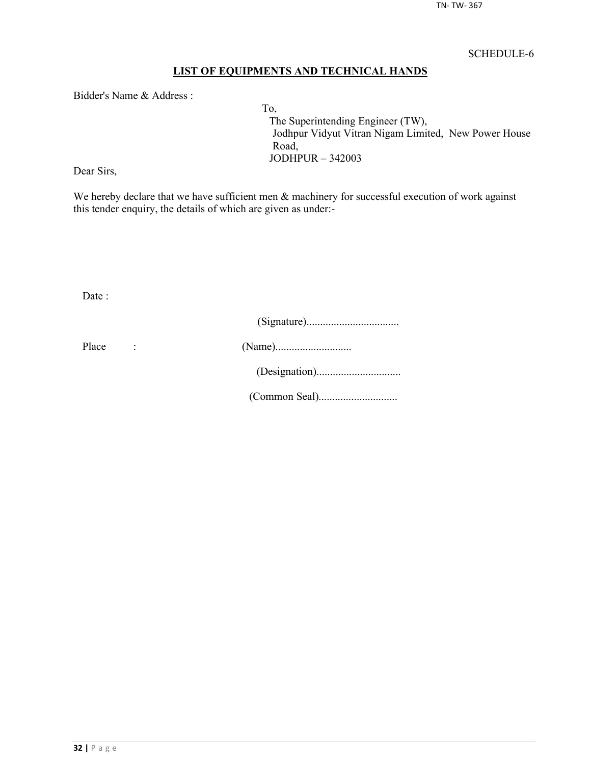## **LIST OF EQUIPMENTS AND TECHNICAL HANDS**

Bidder's Name & Address :

To, The Superintending Engineer (TW), Jodhpur Vidyut Vitran Nigam Limited, New Power House Road, JODHPUR – 342003

Dear Sirs,

We hereby declare that we have sufficient men  $\&$  machinery for successful execution of work against this tender enquiry, the details of which are given as under:-

Date :

| Place |  |
|-------|--|
|       |  |
|       |  |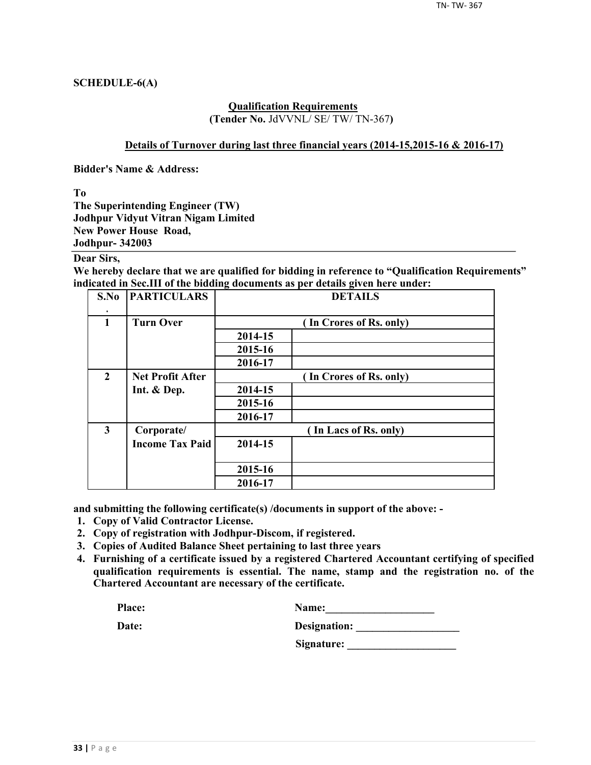## **SCHEDULE-6(A)**

#### **Qualification Requirements (Tender No.** JdVVNL/ SE/ TW/ TN-367**)**

#### **Details of Turnover during last three financial years (2014-15,2015-16 & 2016-17)**

**Bidder's Name & Address:**

**To**

**The Superintending Engineer (TW) Jodhpur Vidyut Vitran Nigam Limited New Power House Road, Jodhpur- 342003**

## **Dear Sirs,**

**We hereby declare that we are qualified for bidding in reference to "Qualification Requirements" indicated in Sec.III of the bidding documents as per details given here under:**

| S.No                    | <b>PARTICULARS</b>      | <b>DETAILS</b> |                         |  |  |  |
|-------------------------|-------------------------|----------------|-------------------------|--|--|--|
| $\mathbf{1}$            | <b>Turn Over</b>        |                | (In Crores of Rs. only) |  |  |  |
|                         |                         | 2014-15        |                         |  |  |  |
|                         |                         | 2015-16        |                         |  |  |  |
|                         |                         | 2016-17        |                         |  |  |  |
| $\overline{2}$          | <b>Net Profit After</b> |                | (In Crores of Rs. only) |  |  |  |
|                         | Int. & Dep.             | 2014-15        |                         |  |  |  |
|                         |                         | 2015-16        |                         |  |  |  |
|                         |                         | 2016-17        |                         |  |  |  |
| $\overline{\mathbf{3}}$ | Corporate/              |                | (In Lacs of Rs. only)   |  |  |  |
|                         | <b>Income Tax Paid</b>  | 2014-15        |                         |  |  |  |
|                         |                         | 2015-16        |                         |  |  |  |
|                         |                         | 2016-17        |                         |  |  |  |

**and submitting the following certificate(s) /documents in support of the above: -**

- **1. Copy of Valid Contractor License.**
- **2. Copy of registration with Jodhpur-Discom, if registered.**
- **3. Copies of Audited Balance Sheet pertaining to last three years**
- **4. Furnishing of a certificate issued by a registered Chartered Accountant certifying of specified qualification requirements is essential. The name, stamp and the registration no. of the Chartered Accountant are necessary of the certificate.**

| Place: | <b>Name:</b> |
|--------|--------------|
|        |              |

| Date: | Designation: |
|-------|--------------|
|       |              |

**Signature: \_\_\_\_\_\_\_\_\_\_\_\_\_\_\_\_\_\_\_\_**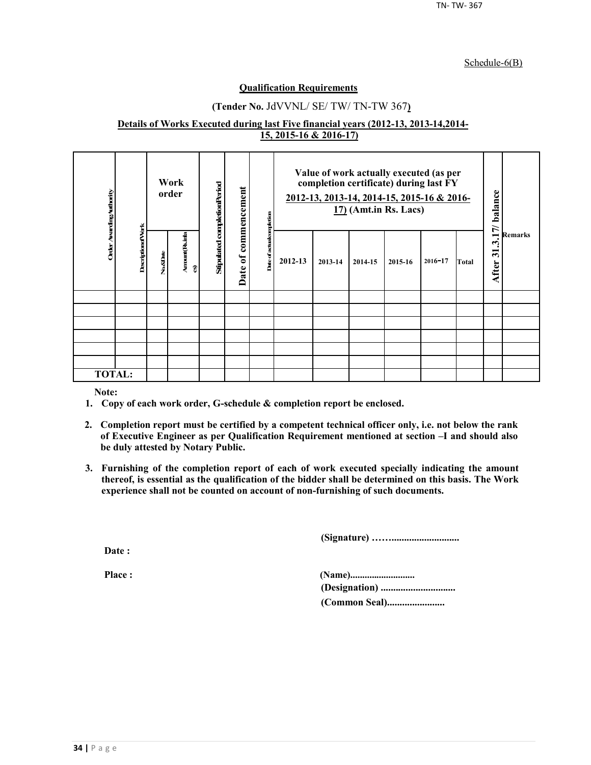#### Schedule-6(B)

## **Qualification Requirements**

## **(Tender No.** JdVVNL/ SE/ TW/ TN-TW 367**)**

#### **Details of Works Executed during last Five financial years (2012-13, 2013-14,2014- 15, 2015-16 & 2016-17)**

| Order Awarding Authority |                          |          | Work<br>order        | Stipulated completionPeriod | commencement           | mpletion     | Value of work actually executed (as per<br>completion certificate) during last FY<br>2012-13, 2013-14, 2014-15, 2015-16 & 2016-<br>$17$ ) (Amt.in Rs. Lacs) |         |         | 17/ balance | <b>Remarks</b> |       |                       |  |
|--------------------------|--------------------------|----------|----------------------|-----------------------------|------------------------|--------------|-------------------------------------------------------------------------------------------------------------------------------------------------------------|---------|---------|-------------|----------------|-------|-----------------------|--|
|                          | <b>DescriptionofVork</b> | No.&Date | Amount (Rsimla<br>อิ |                             | $\mathfrak{b}$<br>Date | Date of acts | 2012-13                                                                                                                                                     | 2013-14 | 2014-15 | 2015-16     | $2016 - 17$    | Total | $\vec{a}$<br>After 31 |  |
|                          |                          |          |                      |                             |                        |              |                                                                                                                                                             |         |         |             |                |       |                       |  |
|                          |                          |          |                      |                             |                        |              |                                                                                                                                                             |         |         |             |                |       |                       |  |
|                          |                          |          |                      |                             |                        |              |                                                                                                                                                             |         |         |             |                |       |                       |  |
|                          |                          |          |                      |                             |                        |              |                                                                                                                                                             |         |         |             |                |       |                       |  |
|                          |                          |          |                      |                             |                        |              |                                                                                                                                                             |         |         |             |                |       |                       |  |
|                          |                          |          |                      |                             |                        |              |                                                                                                                                                             |         |         |             |                |       |                       |  |
| <b>TOTAL:</b>            |                          |          |                      |                             |                        |              |                                                                                                                                                             |         |         |             |                |       |                       |  |

**Note:**

- **1. Copy of each work order, G-schedule & completion report be enclosed.**
- **2. Completion report must be certified by a competent technical officer only, i.e. not below the rank of Executive Engineer as per Qualification Requirement mentioned at section –I and should also be duly attested by Notary Public.**
- **3. Furnishing of the completion report of each of work executed specially indicating the amount thereof, is essential as the qualification of the bidder shall be determined on this basis. The Work experience shall not be counted on account of non-furnishing of such documents.**

**(Signature) ……...........................**

**Date :**

**Place : (Name)........................... (Designation) .............................. (Common Seal).......................**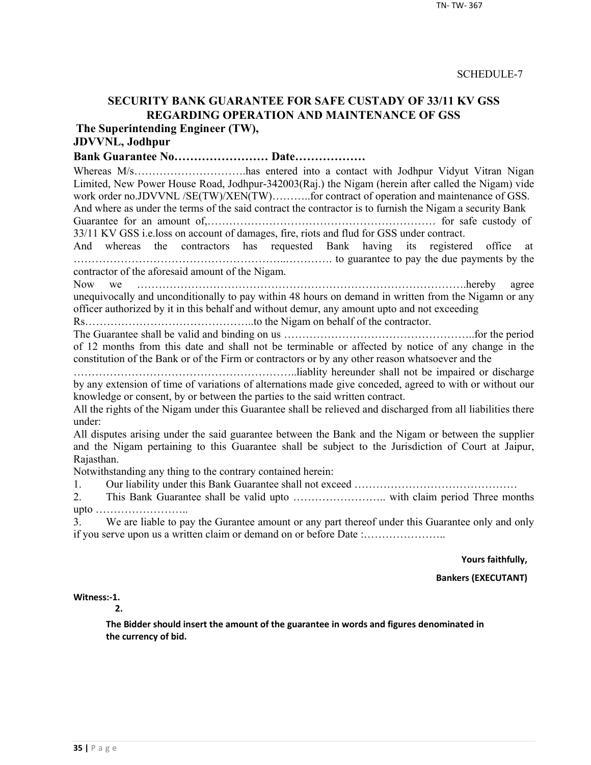## **SECURITY BANK GUARANTEE FOR SAFE CUSTADY OF 33/11 KV GSS REGARDING OPERATION AND MAINTENANCE OF GSS**

**The Superintending Engineer (TW),**

## **JDVVNL, Jodhpur**

**Bank Guarantee No…………………… Date………………**

Whereas M/s…………………………has entered into a contact with Jodhpur Vidyut Vitran Nigan Limited, New Power House Road, Jodhpur-342003(Raj.) the Nigam (herein after called the Nigam) vide work order no.JDVVNL /SE(TW)/XEN(TW)..........for contract of operation and maintenance of GSS. And where as under the terms of the said contract the contractor is to furnish the Nigam a security Bank

Guarantee for an amount of,……………………………………………………… for safe custody of 33/11 KV GSS i.e.loss on account of damages, fire, riots and flud for GSS under contract.

And whereas the contractors has requested Bank having its registered office at …………………………………………………..…………. to guarantee to pay the due payments by the contractor of the aforesaid amount of the Nigam.

Now we ……………………………………………………………………………….hereby agree unequivocally and unconditionally to pay within 48 hours on demand in written from the Nigamn or any officer authorized by it in this behalf and without demur, any amount upto and not exceeding

Rs………………………………………..to the Nigam on behalf of the contractor.

The Guarantee shall be valid and binding on us ……………………………………………..for the period of 12 months from this date and shall not be terminable or affected by notice of any change in the constitution of the Bank or of the Firm or contractors or by any other reason whatsoever and the

……………………………………………………..liablity hereunder shall not be impaired or discharge by any extension of time of variations of alternations made give conceded, agreed to with or without our knowledge or consent, by or between the parties to the said written contract.

All the rights of the Nigam under this Guarantee shall be relieved and discharged from all liabilities there under:

All disputes arising under the said guarantee between the Bank and the Nigam or between the supplier and the Nigam pertaining to this Guarantee shall be subject to the Jurisdiction of Court at Jaipur, Rajasthan.

Notwithstanding any thing to the contrary contained herein:

1. Our liability under this Bank Guarantee shall not exceed ………………………………………

2. This Bank Guarantee shall be valid upto …………………….. with claim period Three months upto ……………………..

3. We are liable to pay the Gurantee amount or any part thereof under this Guarantee only and only if you serve upon us a written claim or demand on or before Date :…………………..

**Yours faithfully,**

**Bankers (EXECUTANT)**

**Witness:-1.** 

**2.**

**The Bidder should insert the amount of the guarantee in words and figures denominated in the currency of bid.**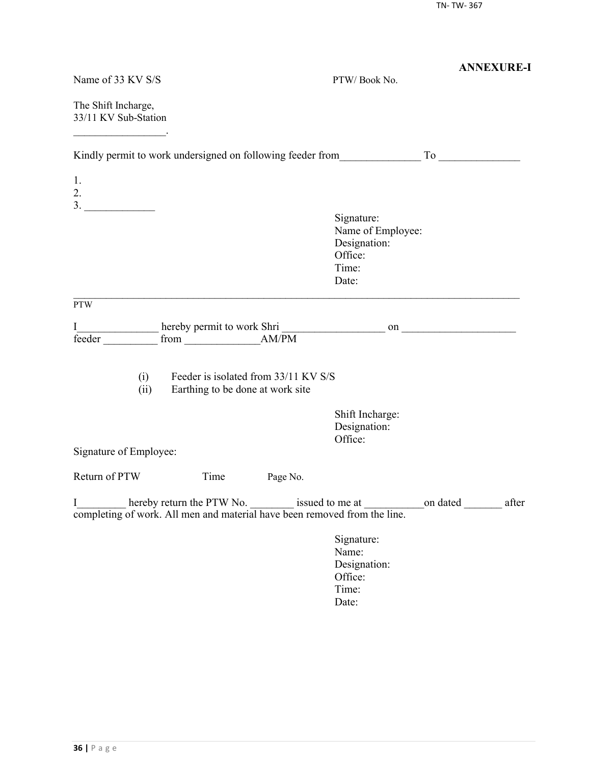| Name of 33 KV S/S                                                              |                                                                          |          | PTW/Book No.                                                                                       | <b>ANNEXURE-I</b> |
|--------------------------------------------------------------------------------|--------------------------------------------------------------------------|----------|----------------------------------------------------------------------------------------------------|-------------------|
| The Shift Incharge,<br>33/11 KV Sub-Station                                    |                                                                          |          |                                                                                                    |                   |
|                                                                                |                                                                          |          |                                                                                                    |                   |
| 1.<br>2.                                                                       |                                                                          |          |                                                                                                    |                   |
| 3.                                                                             |                                                                          |          | Signature:<br>Name of Employee:<br>Designation:<br>Office:<br>Time:<br>Date:                       |                   |
| <b>PTW</b>                                                                     |                                                                          |          |                                                                                                    |                   |
| I<br>feeder                                                                    |                                                                          |          |                                                                                                    |                   |
| (i)<br>(ii)                                                                    | Feeder is isolated from 33/11 KV S/S<br>Earthing to be done at work site |          |                                                                                                    |                   |
|                                                                                |                                                                          |          | Shift Incharge:<br>Designation:<br>Office:                                                         |                   |
| Signature of Employee:                                                         |                                                                          |          |                                                                                                    |                   |
| Return of PTW                                                                  | Time                                                                     | Page No. |                                                                                                    |                   |
| I<br>completing of work. All men and material have been removed from the line. |                                                                          |          | hereby return the PTW No. _________ issued to me at _________________on dated ______________ after |                   |
|                                                                                |                                                                          |          | Signature:<br>Name:<br>Designation:<br>Office:<br>Time:<br>Date:                                   |                   |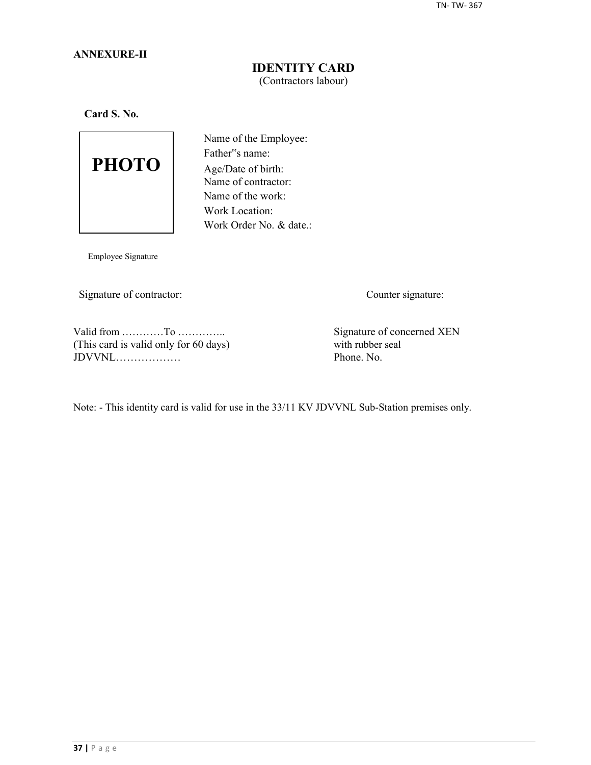## **ANNEXURE-II**

## **IDENTITY CARD** (Contractors labour)

**Card S. No.**



Name of the Employee: Father"s name: Age/Date of birth: Name of contractor: Name of the work: Work Location: Work Order No. & date.:

Employee Signature

Signature of contractor: Counter signature:

Valid from …………To …………..<br>
This card is valid only for 60 days) Signature of concerned XEN<br>
with rubber seal (This card is valid only for 60 days) with rubber seal  $JDVVNL$ 

Note: - This identity card is valid for use in the 33/11 KV JDVVNL Sub-Station premises only.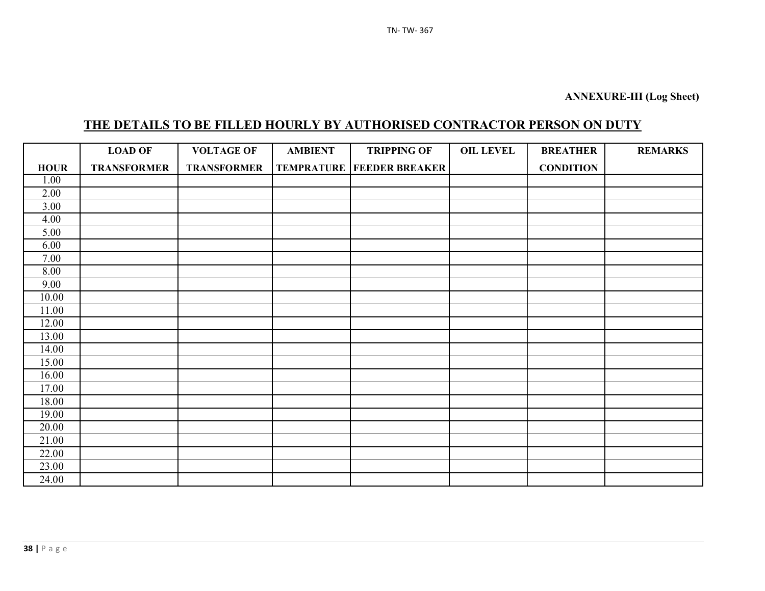# **THE DETAILS TO BE FILLED HOURLY BY AUTHORISED CONTRACTOR PERSON ON DUTY**

|                   | <b>LOAD OF</b>     | <b>VOLTAGE OF</b>  | <b>AMBIENT</b> | <b>TRIPPING OF</b>                   | <b>OIL LEVEL</b> | <b>BREATHER</b>  | <b>REMARKS</b> |
|-------------------|--------------------|--------------------|----------------|--------------------------------------|------------------|------------------|----------------|
| <b>HOUR</b>       | <b>TRANSFORMER</b> | <b>TRANSFORMER</b> |                | <b>TEMPRATURE   FEEDER BREAKER  </b> |                  | <b>CONDITION</b> |                |
| 1.00              |                    |                    |                |                                      |                  |                  |                |
| 2.00              |                    |                    |                |                                      |                  |                  |                |
| $\overline{3.00}$ |                    |                    |                |                                      |                  |                  |                |
| 4.00              |                    |                    |                |                                      |                  |                  |                |
| 5.00              |                    |                    |                |                                      |                  |                  |                |
| 6.00              |                    |                    |                |                                      |                  |                  |                |
| 7.00              |                    |                    |                |                                      |                  |                  |                |
| 8.00              |                    |                    |                |                                      |                  |                  |                |
| 9.00              |                    |                    |                |                                      |                  |                  |                |
| 10.00             |                    |                    |                |                                      |                  |                  |                |
| 11.00             |                    |                    |                |                                      |                  |                  |                |
| 12.00             |                    |                    |                |                                      |                  |                  |                |
| 13.00             |                    |                    |                |                                      |                  |                  |                |
| 14.00             |                    |                    |                |                                      |                  |                  |                |
| 15.00             |                    |                    |                |                                      |                  |                  |                |
| 16.00             |                    |                    |                |                                      |                  |                  |                |
| 17.00             |                    |                    |                |                                      |                  |                  |                |
| 18.00             |                    |                    |                |                                      |                  |                  |                |
| 19.00             |                    |                    |                |                                      |                  |                  |                |
| 20.00             |                    |                    |                |                                      |                  |                  |                |
| 21.00             |                    |                    |                |                                      |                  |                  |                |
| 22.00             |                    |                    |                |                                      |                  |                  |                |
| 23.00             |                    |                    |                |                                      |                  |                  |                |
| 24.00             |                    |                    |                |                                      |                  |                  |                |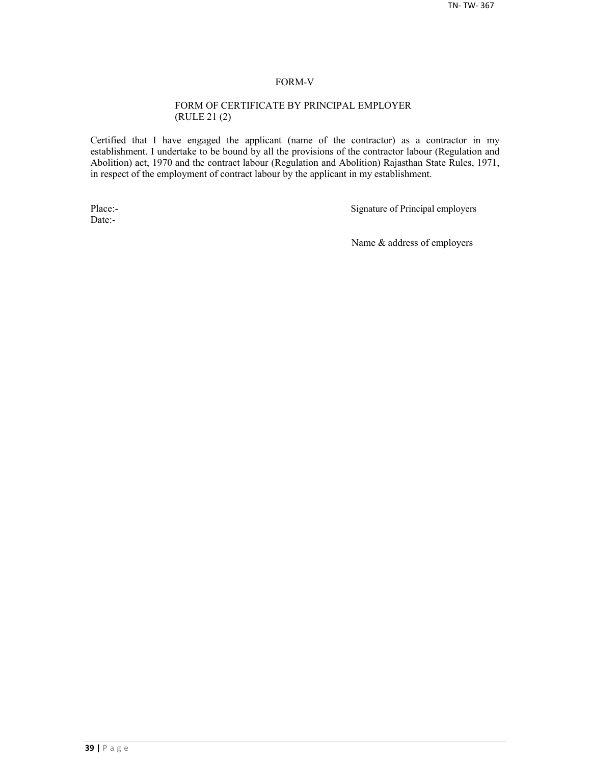#### FORM-V

#### FORM OF CERTIFICATE BY PRINCIPAL EMPLOYER (RULE 21 (2)

Certified that I have engaged the applicant (name of the contractor) as a contractor in my establishment. I undertake to be bound by all the provisions of the contractor labour (Regulation and Abolition) act, 1970 and the contract labour (Regulation and Abolition) Rajasthan State Rules, 1971, in respect of the employment of contract labour by the applicant in my establishment.

Date:-

Place:-<br>
Signature of Principal employers

Name & address of employers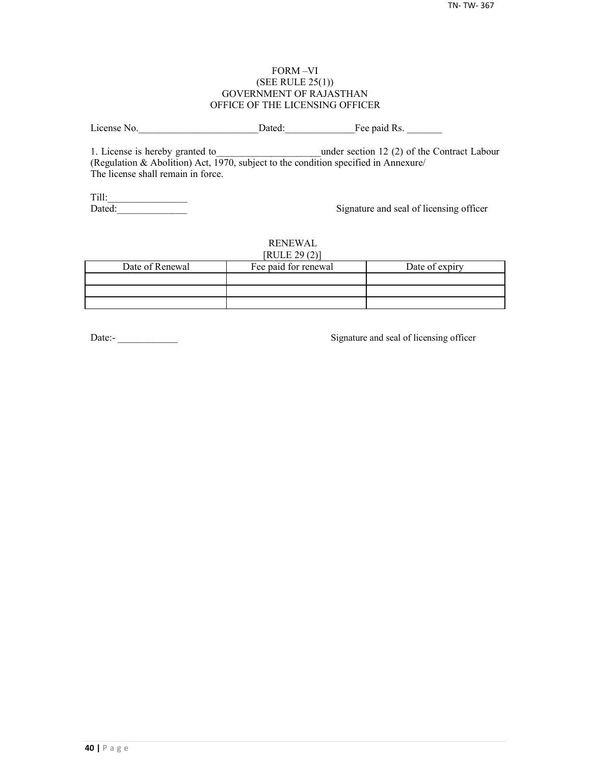#### FORM –VI (SEE RULE 25(1)) GOVERNMENT OF RAJASTHAN OFFICE OF THE LICENSING OFFICER

License No. 2012 Dated: The paid Rs.

1. License is hereby granted to **the under section 12 (2) of the Contract Labour** (Regulation & Abolition) Act, 1970, subject to the condition specified in Annexure/ The license shall remain in force.

Till:\_\_\_\_\_\_\_\_\_\_\_\_\_\_\_\_

Signature and seal of licensing officer

#### RENEWAL  $[PHH]$   $[20(2)]$

| NULEZ9(2)       |                      |                |  |  |  |  |  |
|-----------------|----------------------|----------------|--|--|--|--|--|
| Date of Renewal | Fee paid for renewal | Date of expiry |  |  |  |  |  |
|                 |                      |                |  |  |  |  |  |
|                 |                      |                |  |  |  |  |  |
|                 |                      |                |  |  |  |  |  |

Date:-<br>
Signature and seal of licensing officer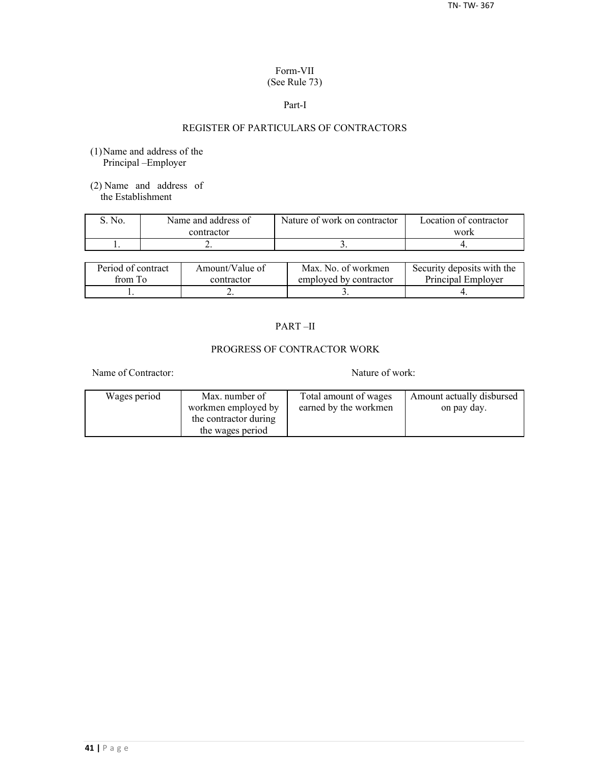## Form-VII (See Rule 73)

#### Part-I

## REGISTER OF PARTICULARS OF CONTRACTORS

- (1)Name and address of the Principal –Employer
- (2) Name and address of the Establishment

| No. | Name and address of | Nature of work on contractor | Location of contractor |  |
|-----|---------------------|------------------------------|------------------------|--|
|     | contractor          |                              | work                   |  |
|     | . .                 |                              |                        |  |

| Period of contract | Amount/Value of | Max. No. of workmen    | Security deposits with the |
|--------------------|-----------------|------------------------|----------------------------|
| from To            | contractor      | employed by contractor | Principal Employer         |
|                    | ∸               |                        |                            |

## PART –II

## PROGRESS OF CONTRACTOR WORK

Name of Contractor: Nature of work:

| Wages period | Max. number of        | Total amount of wages | Amount actually disbursed |
|--------------|-----------------------|-----------------------|---------------------------|
|              | workmen employed by   | earned by the workmen | on pay day.               |
|              | the contractor during |                       |                           |
|              | the wages period      |                       |                           |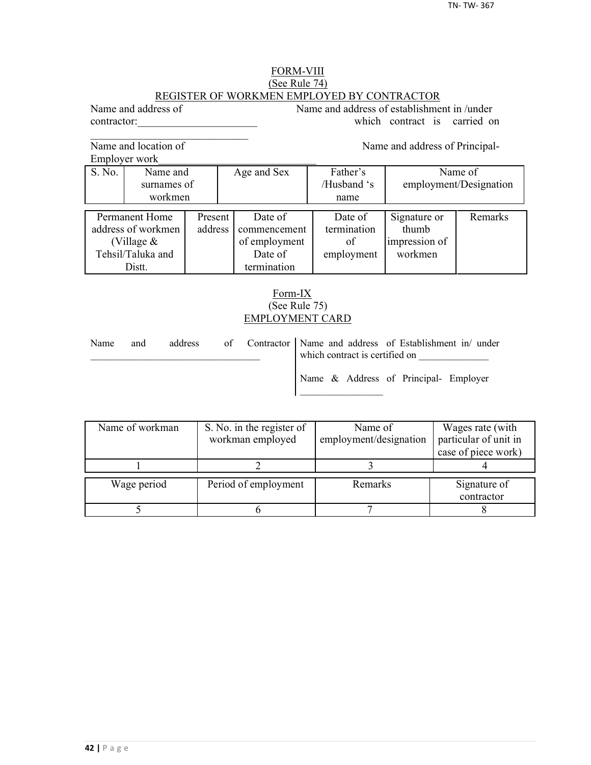#### FORM-VIII (See Rule 74) REGISTER OF WORKMEN EMPLOYED BY CONTRACTOR

Name and address of Name and address of establishment in /under contractor: which contract is carried on

Name and location of Name and address of Principal-

 $\mathcal{L}_\text{max}$ 

Employer work

S. No. Name and Age and Sex Father's Name of surnames of / /Husband 's employment/Designation workmen | name Permanent Home Present Date of Date of Signature or Remarks decrees of workmen address commencement termination thumb address of workmen address commencement termination (Village  $\&$   $\qquad$  of employment of impression of Tehsil/Taluka and **Date of** employment workmen Distt. **termination** 

## Form-IX (See Rule 75) EMPLOYMENT CARD

| Name | and | address |  | of Contractor Name and address of Establishment in/ under<br>which contract is certified on |
|------|-----|---------|--|---------------------------------------------------------------------------------------------|
|      |     |         |  | Name & Address of Principal- Employer                                                       |

| Name of workman | S. No. in the register of<br>workman employed | Name of<br>employment/designation | Wages rate (with<br>particular of unit in |  |
|-----------------|-----------------------------------------------|-----------------------------------|-------------------------------------------|--|
|                 |                                               |                                   | case of piece work)                       |  |
|                 |                                               |                                   |                                           |  |
| Wage period     | Period of employment                          | Remarks                           | Signature of<br>contractor                |  |
|                 |                                               |                                   |                                           |  |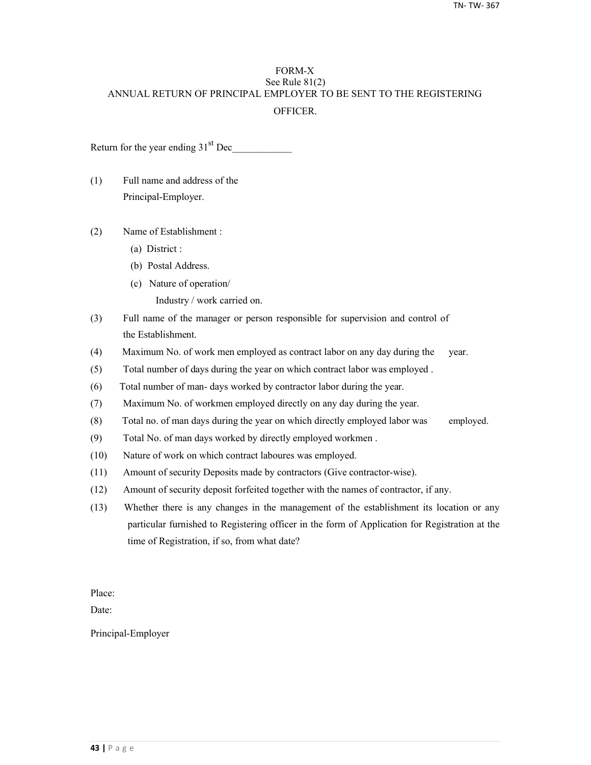## FORM-X See Rule 81(2) ANNUAL RETURN OF PRINCIPAL EMPLOYER TO BE SENT TO THE REGISTERING **OFFICER**

Return for the year ending  $31<sup>st</sup>$  Dec

- (1) Full name and address of the Principal-Employer.
- (2) Name of Establishment :
	- (a) District :
	- (b) Postal Address.
	- (c) Nature of operation/
		- Industry / work carried on.
- (3) Full name of the manager or person responsible for supervision and control of the Establishment.
- (4) Maximum No. of work men employed as contract labor on any day during the year.
- (5) Total number of days during the year on which contract labor was employed .
- (6) Total number of man- days worked by contractor labor during the year.
- (7) Maximum No. of workmen employed directly on any day during the year.
- (8) Total no. of man days during the year on which directly employed labor was employed.
- (9) Total No. of man days worked by directly employed workmen .
- (10) Nature of work on which contract laboures was employed.
- (11) Amount of security Deposits made by contractors (Give contractor-wise).
- (12) Amount of security deposit forfeited together with the names of contractor, if any.
- (13) Whether there is any changes in the management of the establishment its location or any particular furnished to Registering officer in the form of Application for Registration at the time of Registration, if so, from what date?

Place:

Date:

Principal-Employer